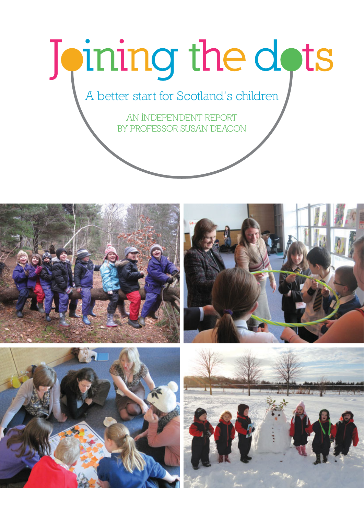# Joining the dots

A better start for Scotland's children

AN INDEPENDENT REPORT BY PROFESSOR SUSAN DEACON







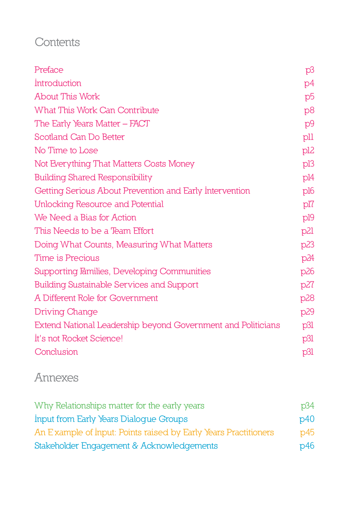# **Contents**

| Preface                                                      | p3              |
|--------------------------------------------------------------|-----------------|
| Introduction                                                 | p4              |
| <b>About This Work</b>                                       | p5              |
| <b>What This Work Can Contribute</b>                         | p8              |
| The Early Years Matter – FACT                                | p9              |
| <b>Scotland Can Do Better</b>                                | pll             |
| No Time to Lose                                              | pl <sub>2</sub> |
| Not Everything That Matters Costs Money                      | pl3             |
| <b>Building Shared Responsibility</b>                        | pl4             |
| Getting Serious About Prevention and Early Intervention      | pl6             |
| Unlocking Resource and Potential                             | pl <sub>7</sub> |
| We Need a Bias for Action                                    | pl9             |
| This Needs to be a Team Effort                               | p21             |
| Doing What Counts, Measuring What Matters                    | p23             |
| Time is Precious                                             | p24             |
| Supporting Families, Developing Communities                  | p26             |
| <b>Building Sustainable Services and Support</b>             | p27             |
| A Different Role for Government                              | p28             |
| Driving Change                                               | p29             |
| Extend National Leadership beyond Government and Politicians | p31             |
| It's not Rocket Science!                                     | p31             |
| Conclusion                                                   | p31             |

# **Annexes**

| Why Relationships matter for the early years                    | p34 |
|-----------------------------------------------------------------|-----|
| Input from Early Years Dialogue Groups                          | p40 |
| An Example of Input: Points raised by Early Years Practitioners | p45 |
| Stakeholder Engagement & Acknowledgements                       | p46 |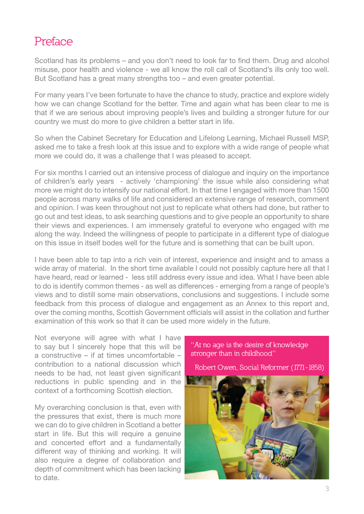# **Preface**

Scotland has its problems – and you don't need to look far to find them. Drug and alcohol misuse, poor health and violence - we all know the roll call of Scotland's ills only too well. But Scotland has a great many strengths too – and even greater potential.

For many years I've been fortunate to have the chance to study, practice and explore widely how we can change Scotland for the better. Time and again what has been clear to me is that if we are serious about improving people's lives and building a stronger future for our country we must do more to give children a better start in life.

So when the Cabinet Secretary for Education and Lifelong Learning, Michael Russell MSP, asked me to take a fresh look at this issue and to explore with a wide range of people what more we could do, it was a challenge that I was pleased to accept.

For six months I carried out an intensive process of dialogue and inquiry on the importance of children's early years - actively 'championing' the issue while also considering what more we might do to intensify our national effort. In that time I engaged with more than 1500 people across many walks of life and considered an extensive range of research, comment and opinion. I was keen throughout not just to replicate what others had done, but rather to go out and test ideas, to ask searching questions and to give people an opportunity to share their views and experiences. I am immensely grateful to everyone who engaged with me along the way. Indeed the willingness of people to participate in a different type of dialogue on this issue in itself bodes well for the future and is something that can be built upon.

I have been able to tap into a rich vein of interest, experience and insight and to amass a wide array of material. In the short time available I could not possibly capture here all that I have heard, read or learned - less still address every issue and idea. What I have been able to do is identify common themes - as well as differences - emerging from a range of people's views and to distill some main observations, conclusions and suggestions. I include some feedback from this process of dialogue and engagement as an Annex to this report and, over the coming months, Scottish Government officials will assist in the collation and further examination of this work so that it can be used more widely in the future.

Not everyone will agree with what I have to say but I sincerely hope that this will be a constructive – if at times uncomfortable – contribution to a national discussion which needs to be had, not least given significant reductions in public spending and in the context of a forthcoming Scottish election.

My overarching conclusion is that, even with the pressures that exist, there is much more we can do to give children in Scotland a better start in life. But this will require a genuine and concerted effort and a fundamentally different way of thinking and working. It will also require a degree of collaboration and depth of commitment which has been lacking to date.

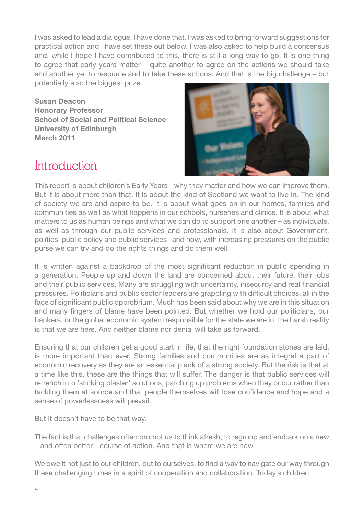I was asked to lead a dialogue. I have done that. I was asked to bring forward suggestions for practical action and I have set these out below. I was also asked to help build a consensus and, while I hope I have contributed to this, there is still a long way to go. It is one thing to agree that early years matter – quite another to agree on the actions we should take and another yet to resource and to take these actions. And that is the big challenge – but potentially also the biggest prize.

**Susan Deacon Honorary Professor School of Social and Political Science University of Edinburgh March 2011**



# **Introduction**

This report is about children's Early Years - why they matter and how we can improve them. But it is about more than that. It is about the kind of Scotland we want to live in. The kind of society we are and aspire to be. It is about what goes on in our homes, families and communities as well as what happens in our schools, nurseries and clinics. It is about what matters to us as human beings and what we can do to support one another – as individuals, as well as through our public services and professionals. It is also about Government, politics, public policy and public services– and how, with increasing pressures on the public purse we can try and do the rights things and do them well.

It is written against a backdrop of the most significant reduction in public spending in a generation. People up and down the land are concerned about their future, their jobs and their public services. Many are struggling with uncertainty, insecurity and real financial pressures. Politicians and public sector leaders are grappling with difficult choices, all in the face of significant public opprobrium. Much has been said about why we are in this situation and many fingers of blame have been pointed. But whether we hold our politicians, our bankers, or the global economic system responsible for the state we are in, the harsh reality is that we are here. And neither blame nor denial will take us forward.

Ensuring that our children get a good start in life, that the right foundation stones are laid, is more important than ever. Strong families and communities are as integral a part of economic recovery as they are an essential plank of a strong society. But the risk is that at a time like this, these are the things that will suffer. The danger is that public services will retrench into 'sticking plaster' solutions, patching up problems when they occur rather than tackling them at source and that people themselves will lose confidence and hope and a sense of powerlessness will prevail.

But it doesn't have to be that way.

The fact is that challenges often prompt us to think afresh, to regroup and embark on a new – and often better - course of action. And that is where we are now.

We owe it not just to our children, but to ourselves, to find a way to navigate our way through these challenging times in a spirit of cooperation and collaboration. Today's children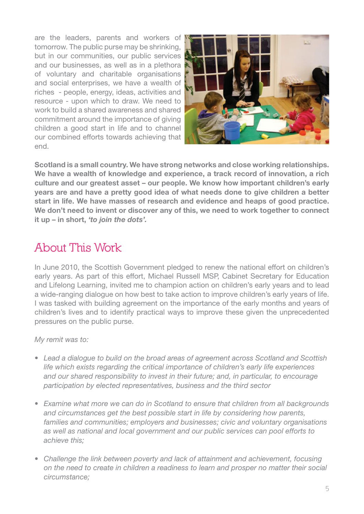are the leaders, parents and workers of tomorrow. The public purse may be shrinking, but in our communities, our public services and our businesses, as well as in a plethora of voluntary and charitable organisations and social enterprises, we have a wealth of riches - people, energy, ideas, activities and resource - upon which to draw. We need to work to build a shared awareness and shared commitment around the importance of giving children a good start in life and to channel our combined efforts towards achieving that end.



**Scotland is a small country. We have strong networks and close working relationships. We have a wealth of knowledge and experience, a track record of innovation, a rich culture and our greatest asset – our people. We know how important children's early years are and have a pretty good idea of what needs done to give children a better start in life. We have masses of research and evidence and heaps of good practice. We don't need to invent or discover any of this, we need to work together to connect it up – in short,** *'to join the dots'.*

# **About This Work**

In June 2010, the Scottish Government pledged to renew the national effort on children's early years. As part of this effort, Michael Russell MSP, Cabinet Secretary for Education and Lifelong Learning, invited me to champion action on children's early years and to lead a wide-ranging dialogue on how best to take action to improve children's early years of life. I was tasked with building agreement on the importance of the early months and years of children's lives and to identify practical ways to improve these given the unprecedented pressures on the public purse.

## *My remit was to:*

- Lead a dialogue to build on the broad areas of agreement across Scotland and Scottish *life which exists regarding the critical importance of children's early life experiences* and our shared responsibility to invest in their future; and, in particular, to encourage participation by elected representatives, business and the third sector
- Examine what more we can do in Scotland to ensure that children from all backgrounds and circumstances get the best possible start in life by considering how parents, families and communities; employers and businesses; civic and voluntary organisations  *ASWELLASNATIONALANDLOCALGOVERNMENTANDOURPUBLICSERVICESCANPOOLEFFORTSTO*  achieve this:
- Challenge the link between poverty and lack of attainment and achievement, focusing *On the need to create in children a readiness to learn and prosper no matter their social CIRCUMSTANCE*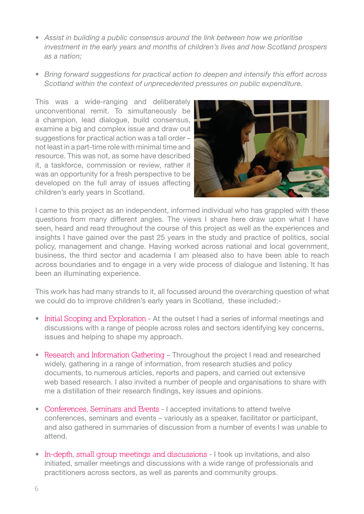- Assist in building a public consensus around the link between how we prioritise *investment in the early years and months of children's lives and how Scotland prospers* as a nation:
- **Bring forward suggestions for practical action to deepen and intensify this effort across** *Scotland within the context of unprecedented pressures on public expenditure.*

This was a wide-ranging and deliberately unconventional remit. To simultaneously be a champion, lead dialogue, build consensus, examine a big and complex issue and draw out suggestions for practical action was a tall order – not least in a part-time role with minimal time and resource. This was not, as some have described it, a taskforce, commission or review, rather it was an opportunity for a fresh perspective to be developed on the full array of issues affecting children's early years in Scotland.



I came to this project as an independent, informed individual who has grappled with these questions from many different angles. The views I share here draw upon what I have seen, heard and read throughout the course of this project as well as the experiences and insights I have gained over the past 25 years in the study and practice of politics, social policy, management and change. Having worked across national and local government, business, the third sector and academia I am pleased also to have been able to reach across boundaries and to engage in a very wide process of dialogue and listening. It has been an illuminating experience.

This work has had many strands to it, all focussed around the overarching question of what we could do to improve children's early years in Scotland, these included:-

- **Initial Scoping and Exploration** At the outset I had a series of informal meetings and discussions with a range of people across roles and sectors identifying key concerns, issues and helping to shape my approach.
- Research and Information Gathering Throughout the project I read and researched widely, gathering in a range of information, from research studies and policy documents, to numerous articles, reports and papers, and carried out extensive web based research. I also invited a number of people and organisations to share with me a distillation of their research findings, key issues and opinions.
- Conferences, Seminars and Events I accepted invitations to attend twelve conferences, seminars and events – variously as a speaker, facilitator or participant, and also gathered in summaries of discussion from a number of events I was unable to attend.
- s **In-depth, small group meetings and discussions** I took up invitations, and also initiated, smaller meetings and discussions with a wide range of professionals and practitioners across sectors, as well as parents and community groups.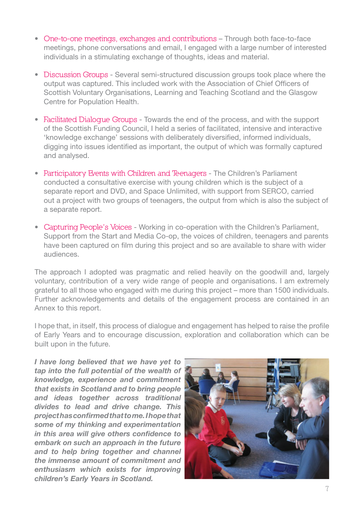- s **One-to-one meetings, exchanges and contributions** Through both face-to-face meetings, phone conversations and email, I engaged with a large number of interested individuals in a stimulating exchange of thoughts, ideas and material.
- **Discussion Groups** Several semi-structured discussion groups took place where the output was captured. This included work with the Association of Chief Officers of Scottish Voluntary Organisations, Learning and Teaching Scotland and the Glasgow Centre for Population Health.
- Facilitated Dialogue Groups Towards the end of the process, and with the support of the Scottish Funding Council, I held a series of facilitated, intensive and interactive 'knowledge exchange' sessions with deliberately diversified, informed individuals, digging into issues identified as important, the output of which was formally captured and analysed.
- **Participatory Events with Children and Teenagers The Children's Parliament**  conducted a consultative exercise with young children which is the subject of a separate report and DVD, and Space Unlimited, with support from SERCO, carried out a project with two groups of teenagers, the output from which is also the subject of a separate report.
- Capturing People's Voices Working in co-operation with the Children's Parliament, Support from the Start and Media Co-op, the voices of children, teenagers and parents have been captured on film during this project and so are available to share with wider audiences.

The approach I adopted was pragmatic and relied heavily on the goodwill and, largely voluntary, contribution of a very wide range of people and organisations. I am extremely grateful to all those who engaged with me during this project – more than 1500 individuals. Further acknowledgements and details of the engagement process are contained in an Annex to this report.

I hope that, in itself, this process of dialogue and engagement has helped to raise the profile of Early Years and to encourage discussion, exploration and collaboration which can be built upon in the future.

*I have long believed that we have yet to tap into the full potential of the wealth of knowledge, experience and commitment that exists in Scotland and to bring people and ideas together across traditional divides to lead and drive change. This project has confirmed that to me. I hope that some of my thinking and experimentation in this area will give others confidence to embark on such an approach in the future and to help bring together and channel the immense amount of commitment and enthusiasm which exists for improving children's Early Years in Scotland.*

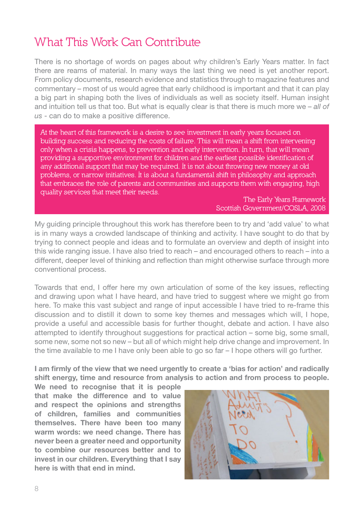# **What This Work Can Contribute**

There is no shortage of words on pages about why children's Early Years matter. In fact there are reams of material. In many ways the last thing we need is yet another report. From policy documents, research evidence and statistics through to magazine features and commentary – most of us would agree that early childhood is important and that it can play a big part in shaping both the lives of individuals as well as society itself. Human insight and intuition tell us that too. But what is equally clear is that there is much more we – all of *US*- can do to make a positive difference.

**At the heart of this framework is a desire to see investment in early years focused on building success and reducing the costs of failure. This will mean a shift from intervening only when a crisis happens, to prevention and early intervention. In turn, that will mean providing a supportive environment for children and the earliest possible identification of any additional support that may be required. It is not about throwing new money at old problems, or narrow initiatives. It is about a fundamental shift in philosophy and approach that embraces the role of parents and communities and supports them with engaging, high quality services that meet their needs.**

> **The Early Years Framework Scottish Government/COSLA, 2008**

My guiding principle throughout this work has therefore been to try and 'add value' to what is in many ways a crowded landscape of thinking and activity. I have sought to do that by trying to connect people and ideas and to formulate an overview and depth of insight into this wide ranging issue. I have also tried to reach – and encouraged others to reach – into a different, deeper level of thinking and reflection than might otherwise surface through more conventional process.

Towards that end, I offer here my own articulation of some of the key issues, reflecting and drawing upon what I have heard, and have tried to suggest where we might go from here. To make this vast subject and range of input accessible I have tried to re-frame this discussion and to distill it down to some key themes and messages which will, I hope, provide a useful and accessible basis for further thought, debate and action. I have also attempted to identify throughout suggestions for practical action – some big, some small, some new, some not so new – but all of which might help drive change and improvement. In the time available to me I have only been able to go so far – I hope others will go further.

**I am firmly of the view that we need urgently to create a 'bias for action' and radically shift energy, time and resource from analysis to action and from process to people.** 

**We need to recognise that it is people that make the difference and to value and respect the opinions and strengths of children, families and communities themselves. There have been too many warm words: we need change. There has never been a greater need and opportunity to combine our resources better and to invest in our children. Everything that I say here is with that end in mind.**

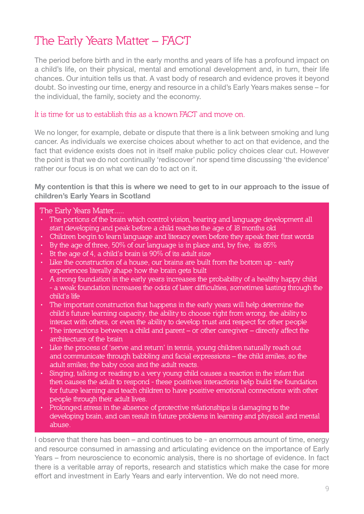# **The Early Years Matter – FACT**

The period before birth and in the early months and years of life has a profound impact on a child's life, on their physical, mental and emotional development and, in turn, their life chances. Our intuition tells us that. A vast body of research and evidence proves it beyond doubt. So investing our time, energy and resource in a child's Early Years makes sense – for the individual, the family, society and the economy.

#### **It is time for us to establish this as a known FACT and move on.**

We no longer, for example, debate or dispute that there is a link between smoking and lung cancer. As individuals we exercise choices about whether to act on that evidence, and the fact that evidence exists does not in itself make public policy choices clear cut. However the point is that we do not continually 'rediscover' nor spend time discussing 'the evidence' rather our focus is on what we can do to act on it.

#### **My contention is that this is where we need to get to in our approach to the issue of children's Early Years in Scotland**

#### **The Early Years Matter.....**

- **The portions of the brain which control vision, hearing and language development all start developing and peak before a child reaches the age of 18 months old**
- **Children begin to learn language and literacy even before they speak their first words**
- **By the age of three, 50% of our language is in place and, by five, its 85%**
- **Bt the age of 4, a child's brain is 90% of its adult size**
- **Like the construction of a house, our brains are built from the bottom up early experiences literally shape how the brain gets built**
- **A strong foundation in the early years increases the probability of a healthy happy child - a weak foundation increases the odds of later difficulties, sometimes lasting through the child's life**
- **The important construction that happens in the early years will help determine the child's future learning capacity, the ability to choose right from wrong, the ability to interact with others, or even the ability to develop trust and respect for other people**
- **The interactions between a child and parent or other caregiver directly affect the architecture of the brain**
- **Like the process of 'serve and return' in tennis, young children naturally reach out and communicate through babbling and facial expressions – the child smiles, so the adult smiles; the baby coos and the adult reacts.**
- **Singing, talking or reading to a very young child causes a reaction in the infant that then causes the adult to respond - these positives interactions help build the foundation for future learning and teach children to have positive emotional connections with other people through their adult lives.**
- **Prolonged stress in the absence of protective relationships is damaging to the developing brain, and can result in future problems in learning and physical and mental abuse.**

I observe that there has been – and continues to be - an enormous amount of time, energy and resource consumed in amassing and articulating evidence on the importance of Early Years – from neuroscience to economic analysis, there is no shortage of evidence. In fact there is a veritable array of reports, research and statistics which make the case for more effort and investment in Early Years and early intervention. We do not need more.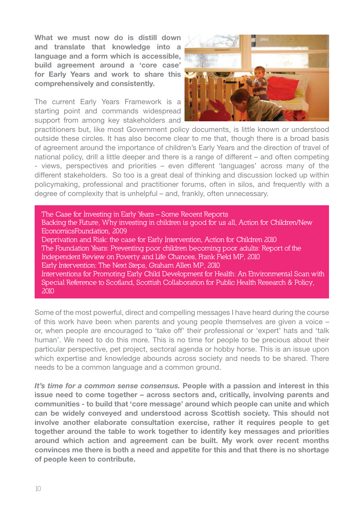**What we must now do is distill down and translate that knowledge into a language and a form which is accessible, build agreement around a 'core case' for Early Years and work to share this comprehensively and consistently.** 

The current Early Years Framework is a starting point and commands widespread support from among key stakeholders and



practitioners but, like most Government policy documents, is little known or understood outside these circles. It has also become clear to me that, though there is a broad basis of agreement around the importance of children's Early Years and the direction of travel of national policy, drill a little deeper and there is a range of different – and often competing - views, perspectives and priorities – even different 'languages' across many of the different stakeholders. So too is a great deal of thinking and discussion locked up within policymaking, professional and practitioner forums, often in silos, and frequently with a degree of complexity that is unhelpful – and, frankly, often unnecessary.

**The Case for Investing in Early Years – Some Recent Reports Backing the Future, Why investing in children is good for us all, Action for Children/New EconomicsFoundation, 2009 Deprivation and Risk: the case for Early Intervention, Action for Children 2010 The Foundation Years: Preventing poor children becoming poor adults: Report of the Independent Review on Poverty and Life Chances, Frank Field MP, 2010 Early Intervention: The Next Steps, Graham Allen MP, 2010 Interventions for Promoting Early Child Development for Health: An Environmental Scan with Special Reference to Scotland, Scottish Collaboration for Public Health Research & Policy, 2010**

Some of the most powerful, direct and compelling messages I have heard during the course of this work have been when parents and young people themselves are given a voice – or, when people are encouraged to 'take off' their professional or 'expert' hats and 'talk human'. We need to do this more. This is no time for people to be precious about their particular perspective, pet project, sectoral agenda or hobby horse. This is an issue upon which expertise and knowledge abounds across society and needs to be shared. There needs to be a common language and a common ground.

*It's time for a common sense consensus.* **People with a passion and interest in this issue need to come together – across sectors and, critically, involving parents and communities - to build that 'core message' around which people can unite and which can be widely conveyed and understood across Scottish society. This should not involve another elaborate consultation exercise, rather it requires people to get together around the table to work together to identify key messages and priorities around which action and agreement can be built. My work over recent months convinces me there is both a need and appetite for this and that there is no shortage of people keen to contribute.**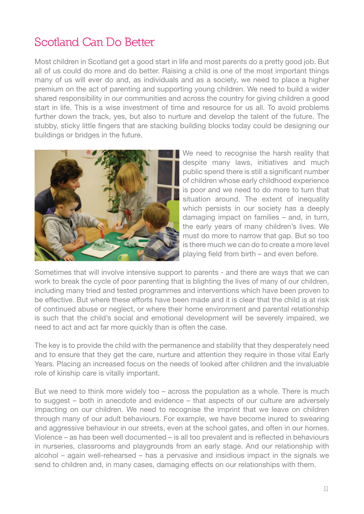# **Scotland Can Do Better**

Most children in Scotland get a good start in life and most parents do a pretty good job. But all of us could do more and do better. Raising a child is one of the most important things many of us will ever do and, as individuals and as a society, we need to place a higher premium on the act of parenting and supporting young children. We need to build a wider shared responsibility in our communities and across the country for giving children a good start in life. This is a wise investment of time and resource for us all. To avoid problems further down the track, yes, but also to nurture and develop the talent of the future. The stubby, sticky little fingers that are stacking building blocks today could be designing our buildings or bridges in the future.



We need to recognise the harsh reality that despite many laws, initiatives and much public spend there is still a significant number of children whose early childhood experience is poor and we need to do more to turn that situation around. The extent of inequality which persists in our society has a deeply damaging impact on families – and, in turn, the early years of many children's lives. We must do more to narrow that gap. But so too is there much we can do to create a more level playing field from birth – and even before.

Sometimes that will involve intensive support to parents - and there are ways that we can work to break the cycle of poor parenting that is blighting the lives of many of our children, including many tried and tested programmes and interventions which have been proven to be effective. But where these efforts have been made and it is clear that the child is at risk of continued abuse or neglect, or where their home environment and parental relationship is such that the child's social and emotional development will be severely impaired, we need to act and act far more quickly than is often the case.

The key is to provide the child with the permanence and stability that they desperately need and to ensure that they get the care, nurture and attention they require in those vital Early Years. Placing an increased focus on the needs of looked after children and the invaluable role of kinship care is vitally important.

But we need to think more widely too – across the population as a whole. There is much to suggest – both in anecdote and evidence – that aspects of our culture are adversely impacting on our children. We need to recognise the imprint that we leave on children through many of our adult behaviours. For example, we have become inured to swearing and aggressive behaviour in our streets, even at the school gates, and often in our homes. Violence – as has been well documented – is all too prevalent and is reflected in behaviours in nurseries, classrooms and playgrounds from an early stage. And our relationship with alcohol – again well-rehearsed – has a pervasive and insidious impact in the signals we send to children and, in many cases, damaging effects on our relationships with them.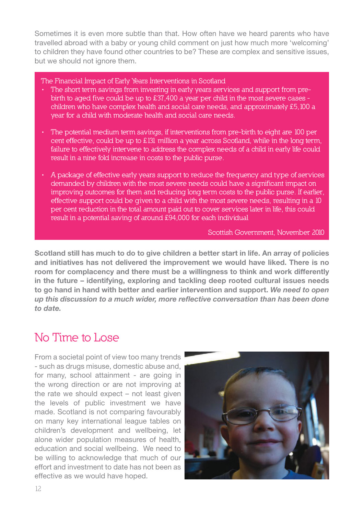Sometimes it is even more subtle than that. How often have we heard parents who have travelled abroad with a baby or young child comment on just how much more 'welcoming' to children they have found other countries to be? These are complex and sensitive issues, but we should not ignore them.

**The Financial Impact of Early Years Interventions in Scotland**

- **The short term savings from investing in early years services and support from pre birth to aged five could be up to £37,400 a year per child in the most severe cases children who have complex health and social care needs, and approximately £5,100 a year for a child with moderate health and social care needs.**
- **The potential medium term savings, if interventions from pre-birth to eight are 100 per cent effective, could be up to £131 million a year across Scotland, while in the long term, failure to effectively intervene to address the complex needs of a child in early life could result in a nine fold increase in costs to the public purse.**
- **A package of effective early years support to reduce the frequency and type of services demanded by children with the most severe needs could have a significant impact on improving outcomes for them and reducing long term costs to the public purse. If earlier, effective support could be given to a child with the most severe needs, resulting in a 10 per cent reduction in the total amount paid out to cover services later in life, this could result in a potential saving of around £94,000 for each individual**

**Scottish Government, November 2010**

**Scotland still has much to do to give children a better start in life. An array of policies and initiatives has not delivered the improvement we would have liked. There is no room for complacency and there must be a willingness to think and work differently in the future – identifying, exploring and tackling deep rooted cultural issues needs to go hand in hand with better and earlier intervention and support.** *We need to open up this discussion to a much wider, more reflective conversation than has been done to date.*

# **No Time to Lose**

From a societal point of view too many trends - such as drugs misuse, domestic abuse and, for many, school attainment - are going in the wrong direction or are not improving at the rate we should expect – not least given the levels of public investment we have made. Scotland is not comparing favourably on many key international league tables on children's development and wellbeing, let alone wider population measures of health, education and social wellbeing. We need to be willing to acknowledge that much of our effort and investment to date has not been as effective as we would have hoped.

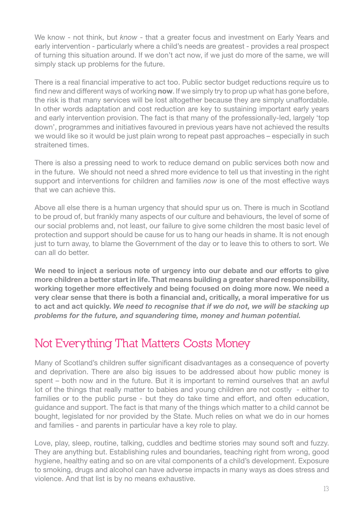We know - not think, but *know* - that a greater focus and investment on Early Years and early intervention - particularly where a child's needs are greatest - provides a real prospect of turning this situation around. If we don't act now, if we just do more of the same, we will simply stack up problems for the future.

There is a real financial imperative to act too. Public sector budget reductions require us to find new and different ways of working **now**. If we simply try to prop up what has gone before, the risk is that many services will be lost altogether because they are simply unaffordable. In other words adaptation and cost reduction are key to sustaining important early years and early intervention provision. The fact is that many of the professionally-led, largely 'top down', programmes and initiatives favoured in previous years have not achieved the results we would like so it would be just plain wrong to repeat past approaches – especially in such straitened times.

There is also a pressing need to work to reduce demand on public services both now and in the future. We should not need a shred more evidence to tell us that investing in the right support and interventions for children and families *now* is one of the most effective ways that we can achieve this.

Above all else there is a human urgency that should spur us on. There is much in Scotland to be proud of, but frankly many aspects of our culture and behaviours, the level of some of our social problems and, not least, our failure to give some children the most basic level of protection and support should be cause for us to hang our heads in shame. It is not enough just to turn away, to blame the Government of the day or to leave this to others to sort. We can all do better.

**We need to inject a serious note of urgency into our debate and our efforts to give more children a better start in life. That means building a greater shared responsibility, working together more effectively and being focused on doing more now. We need a very clear sense that there is both a financial and, critically, a moral imperative for us to act and act quickly.** *We need to recognise that if we do not, we will be stacking up problems for the future, and squandering time, money and human potential.* 

# **Not Everything That Matters Costs Money**

Many of Scotland's children suffer significant disadvantages as a consequence of poverty and deprivation. There are also big issues to be addressed about how public money is spent – both now and in the future. But it is important to remind ourselves that an awful lot of the things that really matter to babies and young children are not costly - either to families or to the public purse - but they do take time and effort, and often education, guidance and support. The fact is that many of the things which matter to a child cannot be bought, legislated for nor provided by the State. Much relies on what we do in our homes and families - and parents in particular have a key role to play.

Love, play, sleep, routine, talking, cuddles and bedtime stories may sound soft and fuzzy. They are anything but. Establishing rules and boundaries, teaching right from wrong, good hygiene, healthy eating and so on are vital components of a child's development. Exposure to smoking, drugs and alcohol can have adverse impacts in many ways as does stress and violence. And that list is by no means exhaustive.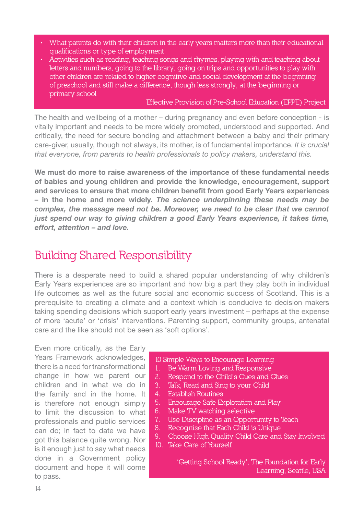- **What parents do with their children in the early years matters more than their educational qualifications or type of employment**
- **Activities such as reading, teaching songs and rhymes, playing with and teaching about letters and numbers, going to the library, going on trips and opportunities to play with other children are related to higher cognitive and social development at the beginning of preschool and still make a difference, though less strongly, at the beginning or primary school**

#### **Effective Provision of Pre-School Education (EPPE) Project**

The health and wellbeing of a mother – during pregnancy and even before conception - is vitally important and needs to be more widely promoted, understood and supported. And critically, the need for secure bonding and attachment between a baby and their primary care-giver, usually, though not always, its mother, is of fundamental importance, *It is crucial* that evervone, from parents to health professionals to policy makers, understand this,

**We must do more to raise awareness of the importance of these fundamental needs of babies and young children and provide the knowledge, encouragement, support and services to ensure that more children benefit from good Early Years experiences – in the home and more widely.** *The science underpinning these needs may be complex, the message need not be. Moreover, we need to be clear that we cannot just spend our way to giving children a good Early Years experience, it takes time, effort, attention – and love.*

# **Building Shared Responsibility**

There is a desperate need to build a shared popular understanding of why children's Early Years experiences are so important and how big a part they play both in individual life outcomes as well as the future social and economic success of Scotland. This is a prerequisite to creating a climate and a context which is conducive to decision makers taking spending decisions which support early years investment – perhaps at the expense of more 'acute' or 'crisis' interventions. Parenting support, community groups, antenatal care and the like should not be seen as 'soft options'.

Even more critically, as the Early Years Framework acknowledges, there is a need for transformational change in how we parent our children and in what we do in the family and in the home. It is therefore not enough simply to limit the discussion to what professionals and public services can do; in fact to date we have got this balance quite wrong. Nor is it enough just to say what needs done in a Government policy document and hope it will come to pass.

- **10 Simple Ways to Encourage Learning**
- **1. Be Warm Loving and Responsive**
- **2. Respond to the Child's Cues and Clues**
- **3. Talk, Read and Sing to your Child**
- **4. Establish Routines**
- **5. Encourage Safe Exploration and Play**
- **6. Make TV watching selective**
- **7. Use Discipline as an Opportunity to Teach**
- **8. Recognise that Each Child is Unique**
- **9. Choose High Quality Child Care and Stay Involved**
- **10. Take Care of Yourself**

**'Getting School Ready', The Foundation for Early Learning, Seattle, USA**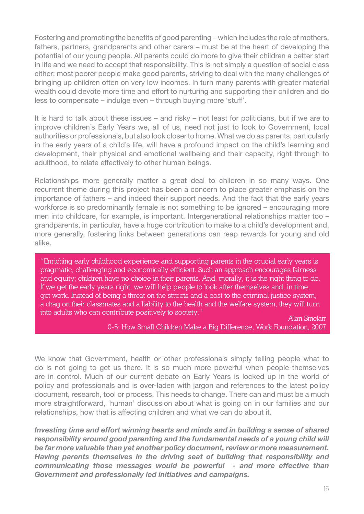Fostering and promoting the benefits of good parenting – which includes the role of mothers, fathers, partners, grandparents and other carers – must be at the heart of developing the potential of our young people. All parents could do more to give their children a better start in life and we need to accept that responsibility. This is not simply a question of social class either; most poorer people make good parents, striving to deal with the many challenges of bringing up children often on very low incomes. In turn many parents with greater material wealth could devote more time and effort to nurturing and supporting their children and do less to compensate – indulge even – through buying more 'stuff'.

It is hard to talk about these issues – and risky – not least for politicians, but if we are to improve children's Early Years we, all of us, need not just to look to Government, local authorities or professionals, but also look closer to home. What we do as parents, particularly in the early years of a child's life, will have a profound impact on the child's learning and development, their physical and emotional wellbeing and their capacity, right through to adulthood, to relate effectively to other human beings.

Relationships more generally matter a great deal to children in so many ways. One recurrent theme during this project has been a concern to place greater emphasis on the importance of fathers – and indeed their support needs. And the fact that the early years workforce is so predominantly female is not something to be ignored – encouraging more men into childcare, for example, is important. Intergenerational relationships matter too – grandparents, in particular, have a huge contribution to make to a child's development and, more generally, fostering links between generations can reap rewards for young and old alike.

**"Enriching early childhood experience and supporting parents in the crucial early years is pragmatic, challenging and economically efficient. Such an approach encourages fairness and equity; children have no choice in their parents. And, morally, it is the right thing to do. If we get the early years right, we will help people to look after themselves and, in time, get work. Instead of being a threat on the streets and a cost to the criminal justice system, a drag on their classmates and a liability to the health and the welfare system, they will turn into adults who can contribute positively to society." Alan Sinclair**

**0-5: How Small Children Make a Big Difference, Work Foundation, 2007**

We know that Government, health or other professionals simply telling people what to do is not going to get us there. It is so much more powerful when people themselves are in control. Much of our current debate on Early Years is locked up in the world of policy and professionals and is over-laden with jargon and references to the latest policy document, research, tool or process. This needs to change. There can and must be a much more straightforward, 'human' discussion about what is going on in our families and our relationships, how that is affecting children and what we can do about it.

*Investing time and effort winning hearts and minds and in building a sense of shared responsibility around good parenting and the fundamental needs of a young child will be far more valuable than yet another policy document, review or more measurement. Having parents themselves in the driving seat of building that responsibility and communicating those messages would be powerful - and more effective than Government and professionally led initiatives and campaigns.*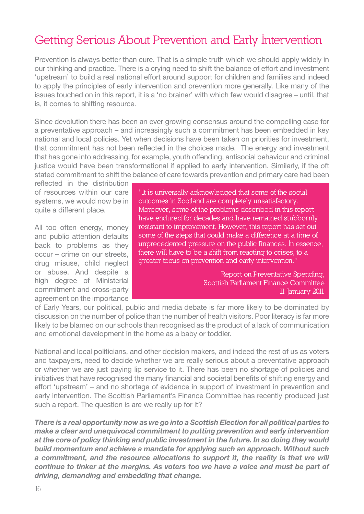# **Getting Serious About Prevention and Early Intervention**

Prevention is always better than cure. That is a simple truth which we should apply widely in our thinking and practice. There is a crying need to shift the balance of effort and investment 'upstream' to build a real national effort around support for children and families and indeed to apply the principles of early intervention and prevention more generally. Like many of the issues touched on in this report, it is a 'no brainer' with which few would disagree – until, that is, it comes to shifting resource.

Since devolution there has been an ever growing consensus around the compelling case for a preventative approach – and increasingly such a commitment has been embedded in key national and local policies. Yet when decisions have been taken on priorities for investment, that commitment has not been reflected in the choices made. The energy and investment that has gone into addressing, for example, youth offending, antisocial behaviour and criminal justice would have been transformational if applied to early intervention. Similarly, if the oft stated commitment to shift the balance of care towards prevention and primary care had been

reflected in the distribution of resources within our care systems, we would now be in quite a different place.

All too often energy, money and public attention defaults back to problems as they occur – crime on our streets, drug misuse, child neglect or abuse. And despite a high degree of Ministerial commitment and cross-party agreement on the importance **"It is universally acknowledged that some of the social outcomes in Scotland are completely unsatisfactory. Moreover, some of the problems described in this report have endured for decades and have remained stubbornly resistant to improvement. However, this report has set out some of the steps that could make a difference at a time of unprecedented pressure on the public finances. In essence, there will have to be a shift from reacting to crises, to a greater focus on prevention and early intervention."**

> **Report on Preventative Spending, Scottish Parliament Finance Committee 11 January 2011**

of Early Years, our political, public and media debate is far more likely to be dominated by discussion on the number of police than the number of health visitors. Poor literacy is far more likely to be blamed on our schools than recognised as the product of a lack of communication and emotional development in the home as a baby or toddler.

National and local politicians, and other decision makers, and indeed the rest of us as voters and taxpayers, need to decide whether we are really serious about a preventative approach or whether we are just paying lip service to it. There has been no shortage of policies and initiatives that have recognised the many financial and societal benefits of shifting energy and effort 'upstream' – and no shortage of evidence in support of investment in prevention and early intervention. The Scottish Parliament's Finance Committee has recently produced just such a report. The question is are we really up for it?

*There is a real opportunity now as we go into a Scottish Election for all political parties to make a clear and unequivocal commitment to putting prevention and early intervention at the core of policy thinking and public investment in the future. In so doing they would build momentum and achieve a mandate for applying such an approach. Without such a commitment, and the resource allocations to support it, the reality is that we will continue to tinker at the margins. As voters too we have a voice and must be part of driving, demanding and embedding that change.*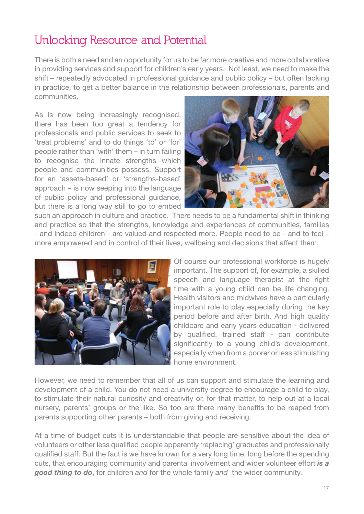# **Unlocking Resource and Potential**

There is both a need and an opportunity for us to be far more creative and more collaborative in providing services and support for children's early years. Not least, we need to make the shift – repeatedly advocated in professional guidance and public policy – but often lacking in practice, to get a better balance in the relationship between professionals, parents and communities.

As is now being increasingly recognised, there has been too great a tendency for professionals and public services to seek to 'treat problems' and to do things 'to' or 'for' people rather than 'with' them – in turn failing to recognise the innate strengths which people and communities possess. Support for an 'assets-based' or 'strengths-based' approach – is now seeping into the language of public policy and professional guidance, but there is a long way still to go to embed



such an approach in culture and practice. There needs to be a fundamental shift in thinking and practice so that the strengths, knowledge and experiences of communities, families - and indeed children - are valued and respected more. People need to be - and to feel – more empowered and in control of their lives, wellbeing and decisions that affect them.



Of course our professional workforce is hugely important. The support of, for example, a skilled speech and language therapist at the right time with a young child can be life changing. Health visitors and midwives have a particularly important role to play especially during the key period before and after birth. And high quality childcare and early years education - delivered by qualified, trained staff - can contribute significantly to a young child's development, especially when from a poorer or less stimulating home environment.

However, we need to remember that all of us can support and stimulate the learning and development of a child. You do not need a university degree to encourage a child to play, to stimulate their natural curiosity and creativity or, for that matter, to help out at a local nursery, parents' groups or the like. So too are there many benefits to be reaped from parents supporting other parents – both from giving and receiving.

At a time of budget cuts it is understandable that people are sensitive about the idea of volunteers or other less qualified people apparently 'replacing' graduates and professionally qualified staff. But the fact is we have known for a very long time, long before the spending cuts, that encouraging community and parental involvement and wider volunteer effort *is a good thing to do*, for children *and* for the whole family *and* the wider community.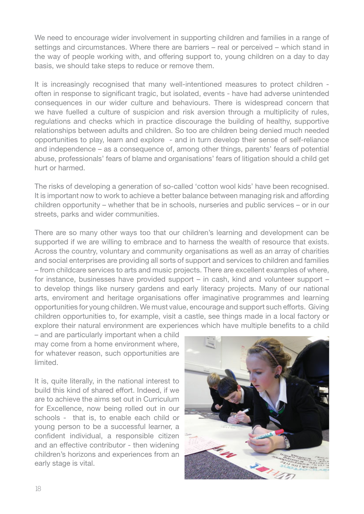We need to encourage wider involvement in supporting children and families in a range of settings and circumstances. Where there are barriers – real or perceived – which stand in the way of people working with, and offering support to, young children on a day to day basis, we should take steps to reduce or remove them.

It is increasingly recognised that many well-intentioned measures to protect children often in response to significant tragic, but isolated, events - have had adverse unintended consequences in our wider culture and behaviours. There is widespread concern that we have fuelled a culture of suspicion and risk aversion through a multiplicity of rules, regulations and checks which in practice discourage the building of healthy, supportive relationships between adults and children. So too are children being denied much needed opportunities to play, learn and explore - and in turn develop their sense of self-reliance and independence – as a consequence of, among other things, parents' fears of potential abuse, professionals' fears of blame and organisations' fears of litigation should a child get hurt or harmed.

The risks of developing a generation of so-called 'cotton wool kids' have been recognised. It is important now to work to achieve a better balance between managing risk and affording children opportunity – whether that be in schools, nurseries and public services – or in our streets, parks and wider communities.

There are so many other ways too that our children's learning and development can be supported if we are willing to embrace and to harness the wealth of resource that exists. Across the country, voluntary and community organisations as well as an array of charities and social enterprises are providing all sorts of support and services to children and families – from childcare services to arts and music projects. There are excellent examples of where, for instance, businesses have provided support – in cash, kind and volunteer support – to develop things like nursery gardens and early literacy projects. Many of our national arts, enviroment and heritage organisations offer imaginative programmes and learning opportunities for young children. We must value, encourage and support such efforts. Giving children opportunities to, for example, visit a castle, see things made in a local factory or explore their natural environment are experiences which have multiple benefits to a child

– and are particularly important when a child may come from a home environment where, for whatever reason, such opportunities are limited.

It is, quite literally, in the national interest to build this kind of shared effort. Indeed, if we are to achieve the aims set out in Curriculum for Excellence, now being rolled out in our schools - that is, to enable each child or young person to be a successful learner, a confident individual, a responsible citizen and an effective contributor - then widening children's horizons and experiences from an early stage is vital.

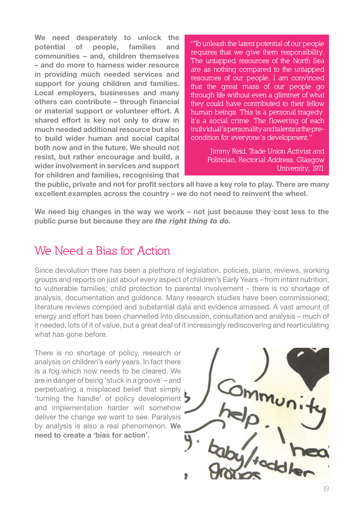**We need desperately to unlock the potential of people, families and communities – and, children themselves – and do more to harness wider resource in providing much needed services and support for young children and families. Local employers, businesses and many others can contribute – through financial or material support or volunteer effort. A shared effort is key not only to draw in much needed additional resource but also to build wider human and social capital both now and in the future. We should not resist, but rather encourage and build, a wider involvement in services and support for children and families, recognising that** 

**"To unleash the latent potential of our people requires that we give them responsibility. The untapped resources of the North Sea are as nothing compared to the untapped resources of our people, I am convinced that the great mass of our people go through life without even a glimmer of what they could have contributed to their fellow human beings. This is a personal tragedy. It's a social crime. The flowering of each individual's personality and talents is the precondition for everyone's development."** 

> **Jimmy Reid, Trade Union Activist and Politician, Rectorial Address, Glasgow University, 1971**

**the public, private and not for profit sectors all have a key role to play. There are many excellent examples across the country – we do not need to reinvent the wheel.**

We need big changes in the way we work – not just because they cost less to the **public purse but because they are** *the right thing to do.*

# **We Need a Bias for Action**

Since devolution there has been a plethora of legislation, policies, plans, reviews, working groups and reports on just about every aspect of children's Early Years – from infant nutrition, to vulnerable families; child protection to parental involvement - there is no shortage of analysis, documentation and guidence. Many research studies have been commissioned; literature reviews compiled and substantial data and evidence amassed. A vast amount of energy and effort has been channelled into discussion, consultation and analysis – much of it needed, lots of it of value, but a great deal of it increasingly rediscovering and rearticulating what has gone before.

There is no shortage of policy, research or analysis on children's early years. In fact there is a fog which now needs to be cleared. We are in danger of being 'stuck in a groove' – and perpetuating a misplaced belief that simply 'turning the handle' of policy development and implementation harder will somehow deliver the change we want to see. Paralysis by analysis is also a real phenomenon. **We need to create a 'bias for action'.**

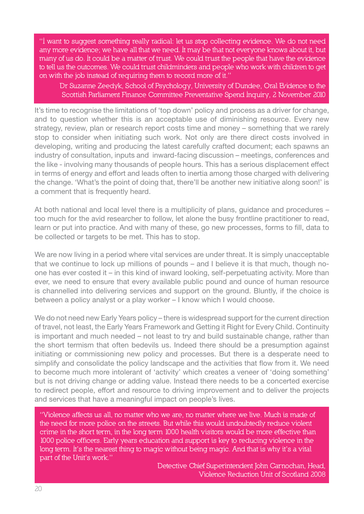**"I want to suggest something really radical: let us stop collecting evidence. We do not need any more evidence; we have all that we need. It may be that not everyone knows about it, but many of us do. It could be a matter of trust. We could trust the people that have the evidence to tell us the outcomes. We could trust childminders and people who work with children to get on with the job instead of requiring them to record more of it."**

**Dr Suzanne Zeedyk, School of Psychology, University of Dundee, Oral Evidence to the Scottish Parliament Finance Committee Preventative Spend Inquiry, 2 November 2010**

It's time to recognise the limitations of 'top down' policy and process as a driver for change, and to question whether this is an acceptable use of diminishing resource. Every new strategy, review, plan or research report costs time and money – something that we rarely stop to consider when initiating such work. Not only are there direct costs involved in developing, writing and producing the latest carefully crafted document; each spawns an industry of consultation, inputs and inward-facing discussion – meetings, conferences and the like - involving many thousands of people hours. This has a serious displacement effect in terms of energy and effort and leads often to inertia among those charged with delivering the change. 'What's the point of doing that, there'll be another new initiative along soon!' is a comment that is frequently heard.

At both national and local level there is a multiplicity of plans, guidance and procedures – too much for the avid researcher to follow, let alone the busy frontline practitioner to read, learn or put into practice. And with many of these, go new processes, forms to fill, data to be collected or targets to be met. This has to stop.

We are now living in a period where vital services are under threat. It is simply unacceptable that we continue to lock up millions of pounds – and I believe it is that much, though noone has ever costed it – in this kind of inward looking, self-perpetuating activity. More than ever, we need to ensure that every available public pound and ounce of human resource is channelled into delivering services and support on the ground. Bluntly, if the choice is between a policy analyst or a play worker – I know which I would choose.

We do not need new Early Years policy – there is widespread support for the current direction of travel, not least, the Early Years Framework and Getting it Right for Every Child. Continuity is important and much needed – not least to try and build sustainable change, rather than the short termism that often bedevils us. Indeed there should be a presumption against initiating or commissioning new policy and processes. But there is a desperate need to simplify and consolidate the policy landscape and the activities that flow from it. We need to become much more intolerant of 'activity' which creates a veneer of 'doing something' but is not driving change or adding value. Instead there needs to be a concerted exercise to redirect people, effort and resource to driving improvement and to deliver the projects and services that have a meaningful impact on people's lives.

**"Violence affects us all, no matter who we are, no matter where we live. Much is made of the need for more police on the streets. But while this would undoubtedly reduce violent crime in the short term, in the long term 1000 health visitors would be more effective than 1000 police officers. Early years education and support is key to reducing violence in the long term. It's the nearest thing to magic without being magic. And that is why it's a vital part of the Unit's work."**

> **Detective Chief Superintendent John Carnochan, Head, Violence Reduction Unit of Scotland 2008**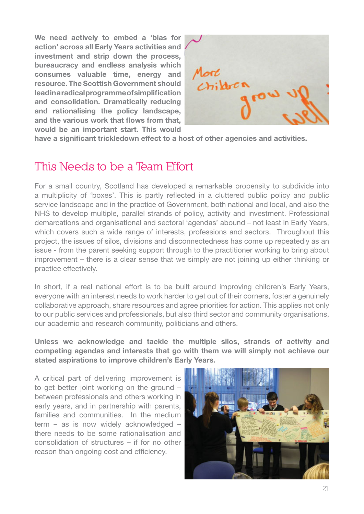**We need actively to embed a 'bias for action' across all Early Years activities and investment and strip down the process, bureaucracy and endless analysis which consumes valuable time, energy and resource. The Scottish Government should lead in a radical programme of simplification and consolidation. Dramatically reducing and rationalising the policy landscape, and the various work that flows from that, would be an important start. This would** 



**have a significant trickledown effect to a host of other agencies and activities.**

# **This Needs to be a Team Effort**

For a small country, Scotland has developed a remarkable propensity to subdivide into a multiplicity of 'boxes'. This is partly reflected in a cluttered public policy and public service landscape and in the practice of Government, both national and local, and also the NHS to develop multiple, parallel strands of policy, activity and investment. Professional demarcations and organisational and sectoral 'agendas' abound – not least in Early Years, which covers such a wide range of interests, professions and sectors. Throughout this project, the issues of silos, divisions and disconnectedness has come up repeatedly as an issue - from the parent seeking support through to the practitioner working to bring about improvement – there is a clear sense that we simply are not joining up either thinking or practice effectively.

In short, if a real national effort is to be built around improving children's Early Years, everyone with an interest needs to work harder to get out of their corners, foster a genuinely collaborative approach, share resources and agree priorities for action. This applies not only to our public services and professionals, but also third sector and community organisations, our academic and research community, politicians and others.

**Unless we acknowledge and tackle the multiple silos, strands of activity and competing agendas and interests that go with them we will simply not achieve our stated aspirations to improve children's Early Years.** 

A critical part of delivering improvement is to get better joint working on the ground – between professionals and others working in early years, and in partnership with parents, families and communities. In the medium term – as is now widely acknowledged – there needs to be some rationalisation and consolidation of structures – if for no other reason than ongoing cost and efficiency.

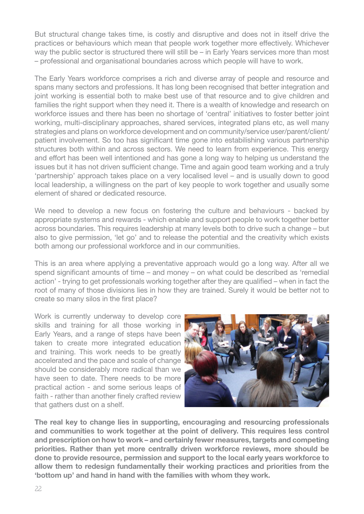But structural change takes time, is costly and disruptive and does not in itself drive the practices or behaviours which mean that people work together more effectively. Whichever way the public sector is structured there will still be – in Early Years services more than most – professional and organisational boundaries across which people will have to work.

The Early Years workforce comprises a rich and diverse array of people and resource and spans many sectors and professions. It has long been recognised that better integration and joint working is essential both to make best use of that resource and to give children and families the right support when they need it. There is a wealth of knowledge and research on workforce issues and there has been no shortage of 'central' initiatives to foster better joint working, multi-disciplinary approaches, shared services, integrated plans etc, as well many strategies and plans on workforce development and on community/service user/parent/client/ patient involvement. So too has significant time gone into estabilishing various partnership structures both within and across sectors. We need to learn from experience. This energy and effort has been well intentioned and has gone a long way to helping us understand the issues but it has not driven sufficient change. Time and again good team working and a truly 'partnership' approach takes place on a very localised level – and is usually down to good local leadership, a willingness on the part of key people to work together and usually some element of shared or dedicated resource.

We need to develop a new focus on fostering the culture and behaviours - backed by appropriate systems and rewards - which enable and support people to work together better across boundaries. This requires leadership at many levels both to drive such a change – but also to give permission, 'let go' and to release the potential and the creativity which exists both among our professional workforce and in our communities.

This is an area where applying a preventative approach would go a long way. After all we spend significant amounts of time – and money – on what could be described as 'remedial action' - trying to get professionals working together after they are qualified – when in fact the root of many of those divisions lies in how they are trained. Surely it would be better not to create so many silos in the first place?

Work is currently underway to develop core skills and training for all those working in Early Years, and a range of steps have been taken to create more integrated education and training. This work needs to be greatly accelerated and the pace and scale of change should be considerably more radical than we have seen to date. There needs to be more practical action - and some serious leaps of faith - rather than another finely crafted review that gathers dust on a shelf.



**The real key to change lies in supporting, encouraging and resourcing professionals and communities to work together at the point of delivery. This requires less control and prescription on how to work – and certainly fewer measures, targets and competing priorities. Rather than yet more centrally driven workforce reviews, more should be done to provide resource, permission and support to the local early years workforce to allow them to redesign fundamentally their working practices and priorities from the 'bottom up' and hand in hand with the families with whom they work.**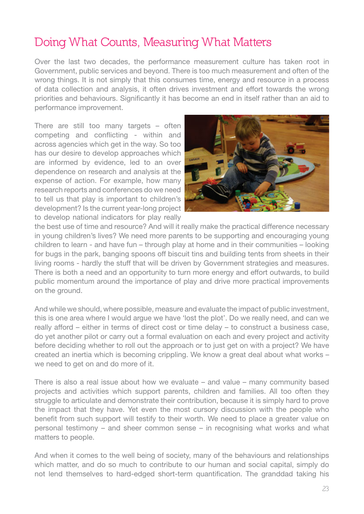# **Doing What Counts, Measuring What Matters**

Over the last two decades, the performance measurement culture has taken root in Government, public services and beyond. There is too much measurement and often of the wrong things. It is not simply that this consumes time, energy and resource in a process of data collection and analysis, it often drives investment and effort towards the wrong priorities and behaviours. Significantly it has become an end in itself rather than an aid to performance improvement.

There are still too many targets – often competing and conflicting - within and across agencies which get in the way. So too has our desire to develop approaches which are informed by evidence, led to an over dependence on research and analysis at the expense of action. For example, how many research reports and conferences do we need to tell us that play is important to children's development? Is the current year-long project to develop national indicators for play really



the best use of time and resource? And will it really make the practical difference necessary in young children's lives? We need more parents to be supporting and encouraging young children to learn - and have fun – through play at home and in their communities – looking for bugs in the park, banging spoons off biscuit tins and building tents from sheets in their living rooms - hardly the stuff that will be driven by Government strategies and measures. There is both a need and an opportunity to turn more energy and effort outwards, to build public momentum around the importance of play and drive more practical improvements on the ground.

And while we should, where possible, measure and evaluate the impact of public investment, this is one area where I would argue we have 'lost the plot'. Do we really need, and can we really afford – either in terms of direct cost or time delay – to construct a business case, do yet another pilot or carry out a formal evaluation on each and every project and activity before deciding whether to roll out the approach or to just get on with a project? We have created an inertia which is becoming crippling. We know a great deal about what works – we need to get on and do more of it.

There is also a real issue about how we evaluate – and value – many community based projects and activities which support parents, children and families. All too often they struggle to articulate and demonstrate their contribution, because it is simply hard to prove the impact that they have. Yet even the most cursory discussion with the people who benefit from such support will testify to their worth. We need to place a greater value on personal testimony – and sheer common sense – in recognising what works and what matters to people.

And when it comes to the well being of society, many of the behaviours and relationships which matter, and do so much to contribute to our human and social capital, simply do not lend themselves to hard-edged short-term quantification. The granddad taking his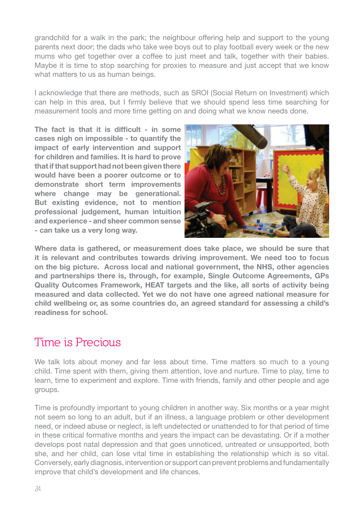grandchild for a walk in the park; the neighbour offering help and support to the young parents next door; the dads who take wee boys out to play football every week or the new mums who get together over a coffee to just meet and talk, together with their babies. Maybe it is time to stop searching for proxies to measure and just accept that we know what matters to us as human beings.

I acknowledge that there are methods, such as SROI (Social Return on Investment) which can help in this area, but I firmly believe that we should spend less time searching for measurement tools and more time getting on and doing what we know needs done.

**The fact is that it is difficult - in some cases nigh on impossible - to quantify the impact of early intervention and support for children and families. It is hard to prove that if that support had not been given there would have been a poorer outcome or to demonstrate short term improvements where change may be generational. But existing evidence, not to mention professional judgement, human intuition and experience - and sheer common sense - can take us a very long way.** 



**Where data is gathered, or measurement does take place, we should be sure that it is relevant and contributes towards driving improvement. We need too to focus on the big picture. Across local and national government, the NHS, other agencies and partnerships there is, through, for example, Single Outcome Agreements, GPs Quality Outcomes Framework, HEAT targets and the like, all sorts of activity being measured and data collected. Yet we do not have one agreed national measure for child wellbeing or, as some countries do, an agreed standard for assessing a child's readiness for school.** 

# **Time is Precious**

We talk lots about money and far less about time. Time matters so much to a young child. Time spent with them, giving them attention, love and nurture. Time to play, time to learn, time to experiment and explore. Time with friends, family and other people and age groups.

Time is profoundly important to young children in another way. Six months or a year might not seem so long to an adult, but if an illness, a language problem or other development need, or indeed abuse or neglect, is left undetected or unattended to for that period of time in these critical formative months and years the impact can be devastating. Or if a mother develops post natal depression and that goes unnoticed, untreated or unsupported, both she, and her child, can lose vital time in establishing the relationship which is so vital. Conversely, early diagnosis, intervention or support can prevent problems and fundamentally improve that child's development and life chances.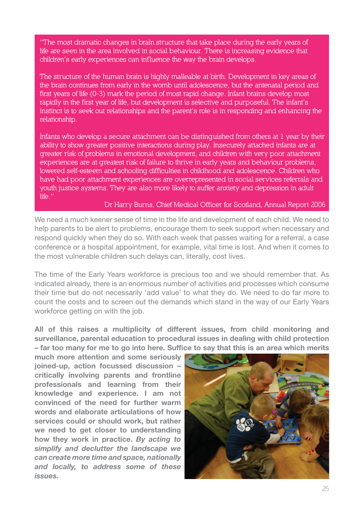**"The most dramatic changes in brain structure that take place during the early years of life are seen in the area involved in social behaviour. There is increasing evidence that children's early experiences can influence the way the brain develops.** 

**The structure of the human brain is highly malleable at birth. Development in key areas of the brain continues from early in the womb until adolescence, but the antenatal period and first years of life (0-3) mark the period of most rapid change. Infant brains develop most rapidly in the first year of life, but development is selective and purposeful. The infant's instinct is to seek out relationships and the parent's role is in responding and enhancing the relationship.**

**Infants who develop a secure attachment can be distinguished from others at 1 year by their ability to show greater positive interactions during play. Insecurely attached infants are at greater risk of problems in emotional development, and children with very poor attachment experiences are at greatest risk of failure to thrive in early years and behaviour problems, lowered self-esteem and schooling difficulties in childhood and adolescence. Children who have had poor attachment experiences are overrepresented in social services referrals and youth justice systems. They are also more likely to suffer anxiety and depression in adult life."**

**Dr Harry Burns, Chief Medical Officer for Scotland, Annual Report 2006**

We need a much keener sense of time in the life and development of each child. We need to help parents to be alert to problems, encourage them to seek support when necessary and respond quickly when they do so. With each week that passes waiting for a referral, a case conference or a hospital appointment, for example, vital time is lost. And when it comes to the most vulnerable children such delays can, literally, cost lives.

The time of the Early Years workforce is precious too and we should remember that. As indicated already, there is an enormous number of activities and processes which consume their time but do not necessarily 'add value' to what they do. We need to do far more to count the costs and to screen out the demands which stand in the way of our Early Years workforce getting on with the job.

**All of this raises a multiplicity of different issues, from child monitoring and surveillance, parental education to procedural issues in dealing with child protection – far too many for me to go into here. Suffice to say that this is an area which merits** 

**much more attention and some seriously joined-up, action focussed discussion – critically involving parents and frontline professionals and learning from their knowledge and experience. I am not convinced of the need for further warm words and elaborate articulations of how services could or should work, but rather we need to get closer to understanding how they work in practice.** *By acting to simplify and declutter the landscape we can create more time and space, nationally and locally, to address some of these issues.*

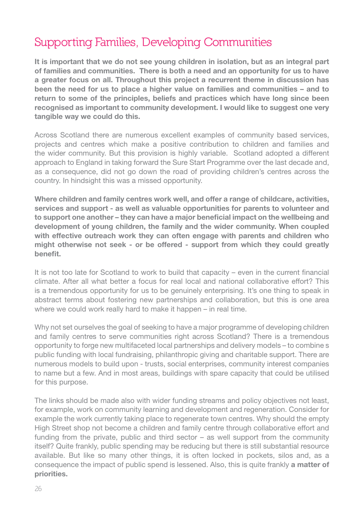# **Supporting Families, Developing Communities**

**It is important that we do not see young children in isolation, but as an integral part of families and communities. There is both a need and an opportunity for us to have a greater focus on all. Throughout this project a recurrent theme in discussion has been the need for us to place a higher value on families and communities – and to return to some of the principles, beliefs and practices which have long since been recognised as important to community development. I would like to suggest one very tangible way we could do this.**

Across Scotland there are numerous excellent examples of community based services, projects and centres which make a positive contribution to children and families and the wider community. But this provision is highly variable. Scotland adopted a different approach to England in taking forward the Sure Start Programme over the last decade and, as a consequence, did not go down the road of providing children's centres across the country. In hindsight this was a missed opportunity.

**Where children and family centres work well, and offer a range of childcare, activities, services and support - as well as valuable opportunities for parents to volunteer and to support one another – they can have a major beneficial impact on the wellbeing and development of young children, the family and the wider community. When coupled with effective outreach work they can often engage with parents and children who might otherwise not seek - or be offered - support from which they could greatly benefit.** 

It is not too late for Scotland to work to build that capacity – even in the current financial climate. After all what better a focus for real local and national collaborative effort? This is a tremendous opportunity for us to be genuinely enterprising. It's one thing to speak in abstract terms about fostering new partnerships and collaboration, but this is one area where we could work really hard to make it happen – in real time.

Why not set ourselves the goal of seeking to have a major programme of developing children and family centres to serve communities right across Scotland? There is a tremendous opportunity to forge new multifaceted local partnerships and delivery models – to combine s public funding with local fundraising, philanthropic giving and charitable support. There are numerous models to build upon - trusts, social enterprises, community interest companies to name but a few. And in most areas, buildings with spare capacity that could be utilised for this purpose.

The links should be made also with wider funding streams and policy objectives not least, for example, work on community learning and development and regeneration. Consider for example the work currently taking place to regenerate town centres. Why should the empty High Street shop not become a children and family centre through collaborative effort and funding from the private, public and third sector – as well support from the community itself? Quite frankly, public spending may be reducing but there is still substantial resource available. But like so many other things, it is often locked in pockets, silos and, as a consequence the impact of public spend is lessened. Also, this is quite frankly **a matter of priorities.**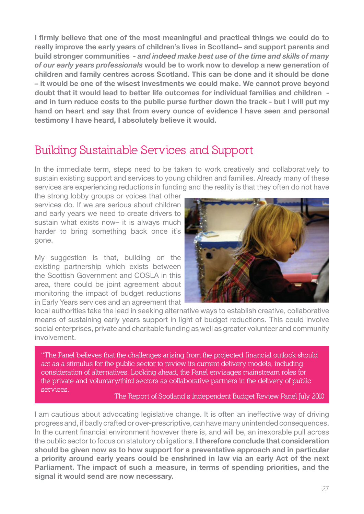**I firmly believe that one of the most meaningful and practical things we could do to really improve the early years of children's lives in Scotland– and support parents and build stronger communities -** *and indeed make best use of the time and skills of many of our early years professionals* **would be to work now to develop a new generation of children and family centres across Scotland. This can be done and it should be done – it would be one of the wisest investments we could make. We cannot prove beyond doubt that it would lead to better life outcomes for individual families and children and in turn reduce costs to the public purse further down the track - but I will put my hand on heart and say that from every ounce of evidence I have seen and personal testimony I have heard, I absolutely believe it would.**

# **Building Sustainable Services and Support**

In the immediate term, steps need to be taken to work creatively and collaboratively to sustain existing support and services to young children and families. Already many of these services are experiencing reductions in funding and the reality is that they often do not have

the strong lobby groups or voices that other services do. If we are serious about children and early years we need to create drivers to sustain what exists now– it is always much harder to bring something back once it's gone.

My suggestion is that, building on the existing partnership which exists between the Scottish Government and COSLA in this area, there could be joint agreement about monitoring the impact of budget reductions in Early Years services and an agreement that



local authorities take the lead in seeking alternative ways to establish creative, collaborative means of sustaining early years support in light of budget reductions. This could involve social enterprises, private and charitable funding as well as greater volunteer and community involvement.

**"The Panel believes that the challenges arising from the projected financial outlook should act as a stimulus for the public sector to review its current delivery models, including consideration of alternatives. Looking ahead, the Panel envisages mainstream roles for the private and voluntary/third sectors as collaborative partners in the delivery of public services.**

**The Report of Scotland's Independent Budget Review Panel July 2010**

I am cautious about advocating legislative change. It is often an ineffective way of driving progress and, if badly crafted or over-prescriptive, can have many unintended consequences. In the current financial environment however there is, and will be, an inexorable pull across the public sector to focus on statutory obligations. **I therefore conclude that consideration should be given now as to how support for a preventative approach and in particular a priority around early years could be enshrined in law via an early Act of the next Parliament. The impact of such a measure, in terms of spending priorities, and the signal it would send are now necessary.**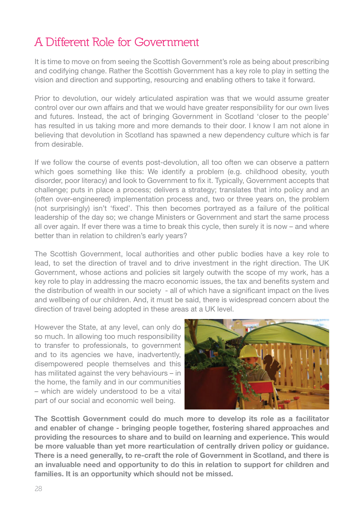# **A Different Role for Government**

It is time to move on from seeing the Scottish Government's role as being about prescribing and codifying change. Rather the Scottish Government has a key role to play in setting the vision and direction and supporting, resourcing and enabling others to take it forward.

Prior to devolution, our widely articulated aspiration was that we would assume greater control over our own affairs and that we would have greater responsibility for our own lives and futures. Instead, the act of bringing Government in Scotland 'closer to the people' has resulted in us taking more and more demands to their door. I know I am not alone in believing that devolution in Scotland has spawned a new dependency culture which is far from desirable.

If we follow the course of events post-devolution, all too often we can observe a pattern which goes something like this: We identify a problem (e.g. childhood obesity, youth disorder, poor literacy) and look to Government to fix it. Typically, Government accepts that challenge; puts in place a process; delivers a strategy; translates that into policy and an (often over-engineered) implementation process and, two or three years on, the problem (not surprisingly) isn't 'fixed'. This then becomes portrayed as a failure of the political leadership of the day so; we change Ministers or Government and start the same process all over again. If ever there was a time to break this cycle, then surely it is now – and where better than in relation to children's early years?

The Scottish Government, local authorities and other public bodies have a key role to lead, to set the direction of travel and to drive investment in the right direction. The UK Government, whose actions and policies sit largely outwith the scope of my work, has a key role to play in addressing the macro economic issues, the tax and benefits system and the distribution of wealth in our society - all of which have a significant impact on the lives and wellbeing of our children. And, it must be said, there is widespread concern about the direction of travel being adopted in these areas at a UK level.

However the State, at any level, can only do so much. In allowing too much responsibility to transfer to professionals, to government and to its agencies we have, inadvertently, disempowered people themselves and this has militated against the very behaviours – in the home, the family and in our communities – which are widely understood to be a vital part of our social and economic well being.



**The Scottish Government could do much more to develop its role as a facilitator and enabler of change - bringing people together, fostering shared approaches and providing the resources to share and to build on learning and experience. This would be more valuable than yet more rearticulation of centrally driven policy or guidance. There is a need generally, to re-craft the role of Government in Scotland, and there is an invaluable need and opportunity to do this in relation to support for children and families. It is an opportunity which should not be missed.**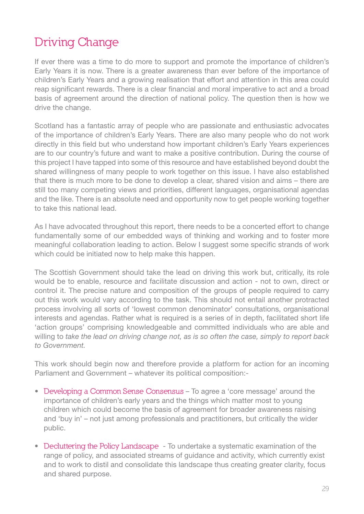# **Driving Change**

If ever there was a time to do more to support and promote the importance of children's Early Years it is now. There is a greater awareness than ever before of the importance of children's Early Years and a growing realisation that effort and attention in this area could reap significant rewards. There is a clear financial and moral imperative to act and a broad basis of agreement around the direction of national policy. The question then is how we drive the change.

Scotland has a fantastic array of people who are passionate and enthusiastic advocates of the importance of children's Early Years. There are also many people who do not work directly in this field but who understand how important children's Early Years experiences are to our country's future and want to make a positive contribution. During the course of this project I have tapped into some of this resource and have established beyond doubt the shared willingness of many people to work together on this issue. I have also established that there is much more to be done to develop a clear, shared vision and aims – there are still too many competing views and priorities, different languages, organisational agendas and the like. There is an absolute need and opportunity now to get people working together to take this national lead.

As I have advocated throughout this report, there needs to be a concerted effort to change fundamentally some of our embedded ways of thinking and working and to foster more meaningful collaboration leading to action. Below I suggest some specific strands of work which could be initiated now to help make this happen.

The Scottish Government should take the lead on driving this work but, critically, its role would be to enable, resource and facilitate discussion and action - not to own, direct or control it. The precise nature and composition of the groups of people required to carry out this work would vary according to the task. This should not entail another protracted process involving all sorts of 'lowest common denominator' consultations, organisational interests and agendas. Rather what is required is a series of in depth, facilitated short life 'action groups' comprising knowledgeable and committed individuals who are able and willing to take the lead on driving change not, as is so often the case, simply to report back to Government.

This work should begin now and therefore provide a platform for action for an incoming Parliament and Government – whatever its political composition:-

- s **Developing a Common Sense Consensus** To agree a 'core message' around the importance of children's early years and the things which matter most to young children which could become the basis of agreement for broader awareness raising and 'buy in' – not just among professionals and practitioners, but critically the wider public.
- Decluttering the Policy Landscape To undertake a systematic examination of the range of policy, and associated streams of guidance and activity, which currently exist and to work to distil and consolidate this landscape thus creating greater clarity, focus and shared purpose.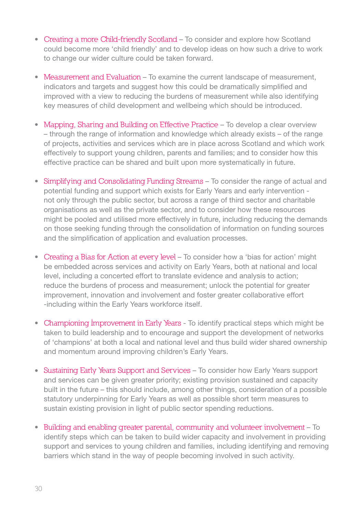- Creating a more Child-friendly Scotland To consider and explore how Scotland could become more 'child friendly' and to develop ideas on how such a drive to work to change our wider culture could be taken forward.
- Measurement and Evaluation To examine the current landscape of measurement, indicators and targets and suggest how this could be dramatically simplified and improved with a view to reducing the burdens of measurement while also identifying key measures of child development and wellbeing which should be introduced.
- **Mapping, Sharing and Building on Effective Practice** To develop a clear overview – through the range of information and knowledge which already exists – of the range of projects, activities and services which are in place across Scotland and which work effectively to support young children, parents and families; and to consider how this effective practice can be shared and built upon more systematically in future.
- **Simplifying and Consolidating Funding Streams To consider the range of actual and**  potential funding and support which exists for Early Years and early intervention not only through the public sector, but across a range of third sector and charitable organisations as well as the private sector, and to consider how these resources might be pooled and utilised more effectively in future, including reducing the demands on those seeking funding through the consolidation of information on funding sources and the simplification of application and evaluation processes.
- Creating a Bias for Action at every level To consider how a 'bias for action' might be embedded across services and activity on Early Years, both at national and local level, including a concerted effort to translate evidence and analysis to action; reduce the burdens of process and measurement; unlock the potential for greater improvement, innovation and involvement and foster greater collaborative effort -including within the Early Years workforce itself.
- Championing Improvement in Early Years To identify practical steps which might be taken to build leadership and to encourage and support the development of networks of 'champions' at both a local and national level and thus build wider shared ownership and momentum around improving children's Early Years.
- Sustaining Early Years Support and Services To consider how Early Years support and services can be given greater priority; existing provision sustained and capacity built in the future – this should include, among other things, consideration of a possible statutory underpinning for Early Years as well as possible short term measures to sustain existing provision in light of public sector spending reductions.
- s **Building and enabling greater parental, community and volunteer involvement** To identify steps which can be taken to build wider capacity and involvement in providing support and services to young children and families, including identifying and removing barriers which stand in the way of people becoming involved in such activity.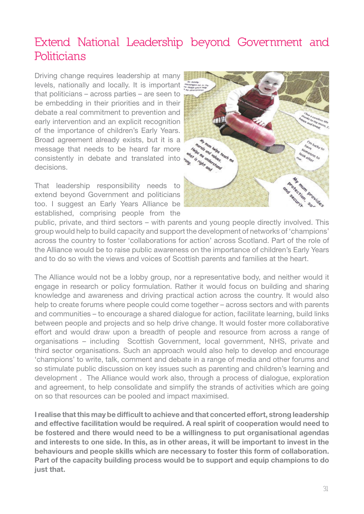# **Extend National Leadership beyond Government and Politicians**

Driving change requires leadership at many levels, nationally and locally. It is important that politicians – across parties – are seen to be embedding in their priorities and in their debate a real commitment to prevention and early intervention and an explicit recognition of the importance of children's Early Years. Broad agreement already exists, but it is a message that needs to be heard far more consistently in debate and translated into  $\frac{1}{2}$ decisions.

That leadership responsibility needs to extend beyond Government and politicians too. I suggest an Early Years Alliance be established, comprising people from the



public, private, and third sectors – with parents and young people directly involved. This group would help to build capacity and support the development of networks of 'champions' across the country to foster 'collaborations for action' across Scotland. Part of the role of the Alliance would be to raise public awareness on the importance of children's Early Years and to do so with the views and voices of Scottish parents and families at the heart.

The Alliance would not be a lobby group, nor a representative body, and neither would it engage in research or policy formulation. Rather it would focus on building and sharing knowledge and awareness and driving practical action across the country. It would also help to create forums where people could come together – across sectors and with parents and communities – to encourage a shared dialogue for action, facilitate learning, build links between people and projects and so help drive change. It would foster more collaborative effort and would draw upon a breadth of people and resource from across a range of organisations – including Scottish Government, local government, NHS, private and third sector organisations. Such an approach would also help to develop and encourage 'champions' to write, talk, comment and debate in a range of media and other forums and so stimulate public discussion on key issues such as parenting and children's learning and development . The Alliance would work also, through a process of dialogue, exploration and agreement, to help consolidate and simplify the strands of activities which are going on so that resources can be pooled and impact maximised.

**I realise that this may be difficult to achieve and that concerted effort, strong leadership and effective facilitation would be required. A real spirit of cooperation would need to be fostered and there would need to be a willingness to put organisational agendas and interests to one side. In this, as in other areas, it will be important to invest in the behaviours and people skills which are necessary to foster this form of collaboration. Part of the capacity building process would be to support and equip champions to do just that.**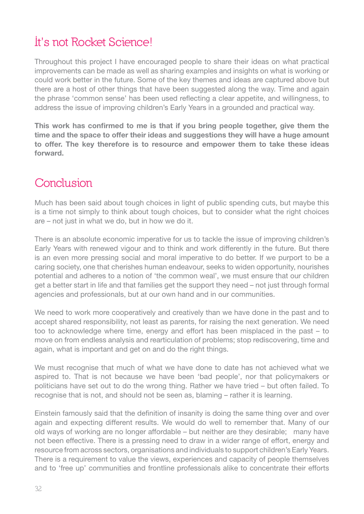# **It's not Rocket Science!**

Throughout this project I have encouraged people to share their ideas on what practical improvements can be made as well as sharing examples and insights on what is working or could work better in the future. Some of the key themes and ideas are captured above but there are a host of other things that have been suggested along the way. Time and again the phrase 'common sense' has been used reflecting a clear appetite, and willingness, to address the issue of improving children's Early Years in a grounded and practical way.

**This work has confirmed to me is that if you bring people together, give them the time and the space to offer their ideas and suggestions they will have a huge amount to offer. The key therefore is to resource and empower them to take these ideas forward.**

# **Conclusion**

Much has been said about tough choices in light of public spending cuts, but maybe this is a time not simply to think about tough choices, but to consider what the right choices are – not just in what we do, but in how we do it.

There is an absolute economic imperative for us to tackle the issue of improving children's Early Years with renewed vigour and to think and work differently in the future. But there is an even more pressing social and moral imperative to do better. If we purport to be a caring society, one that cherishes human endeavour, seeks to widen opportunity, nourishes potential and adheres to a notion of 'the common weal', we must ensure that our children get a better start in life and that families get the support they need – not just through formal agencies and professionals, but at our own hand and in our communities.

We need to work more cooperatively and creatively than we have done in the past and to accept shared responsibility, not least as parents, for raising the next generation. We need too to acknowledge where time, energy and effort has been misplaced in the past – to move on from endless analysis and rearticulation of problems; stop rediscovering, time and again, what is important and get on and do the right things.

We must recognise that much of what we have done to date has not achieved what we aspired to. That is not because we have been 'bad people', nor that policymakers or politicians have set out to do the wrong thing. Rather we have tried – but often failed. To recognise that is not, and should not be seen as, blaming – rather it is learning.

Einstein famously said that the definition of insanity is doing the same thing over and over again and expecting different results. We would do well to remember that. Many of our old ways of working are no longer affordable – but neither are they desirable; many have not been effective. There is a pressing need to draw in a wider range of effort, energy and resource from across sectors, organisations and individuals to support children's Early Years. There is a requirement to value the views, experiences and capacity of people themselves and to 'free up' communities and frontline professionals alike to concentrate their efforts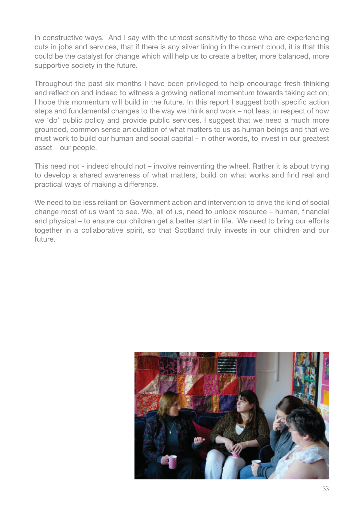in constructive ways. And I say with the utmost sensitivity to those who are experiencing cuts in jobs and services, that if there is any silver lining in the current cloud, it is that this could be the catalyst for change which will help us to create a better, more balanced, more supportive society in the future.

Throughout the past six months I have been privileged to help encourage fresh thinking and reflection and indeed to witness a growing national momentum towards taking action; I hope this momentum will build in the future. In this report I suggest both specific action steps and fundamental changes to the way we think and work – not least in respect of how we 'do' public policy and provide public services. I suggest that we need a much more grounded, common sense articulation of what matters to us as human beings and that we must work to build our human and social capital - in other words, to invest in our greatest asset – our people.

This need not - indeed should not – involve reinventing the wheel. Rather it is about trying to develop a shared awareness of what matters, build on what works and find real and practical ways of making a difference.

We need to be less reliant on Government action and intervention to drive the kind of social change most of us want to see. We, all of us, need to unlock resource – human, financial and physical – to ensure our children get a better start in life. We need to bring our efforts together in a collaborative spirit, so that Scotland truly invests in our children and our future.

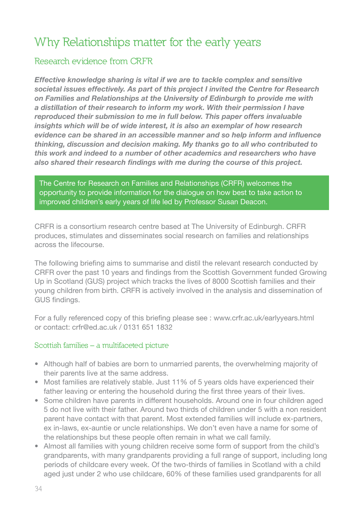# **Why Relationships matter for the early years**

# **Research evidence from CRFR**

*Effective knowledge sharing is vital if we are to tackle complex and sensitive societal issues effectively. As part of this project I invited the Centre for Research on Families and Relationships at the University of Edinburgh to provide me with a distillation of their research to inform my work. With their permission I have reproduced their submission to me in full below. This paper offers invaluable insights which will be of wide interest, it is also an exemplar of how research evidence can be shared in an accessible manner and so help inform and influence thinking, discussion and decision making. My thanks go to all who contributed to this work and indeed to a number of other academics and researchers who have also shared their research findings with me during the course of this project.*

The Centre for Research on Families and Relationships (CRFR) welcomes the opportunity to provide information for the dialogue on how best to take action to improved children's early years of life led by Professor Susan Deacon.

CRFR is a consortium research centre based at The University of Edinburgh. CRFR produces, stimulates and disseminates social research on families and relationships across the lifecourse.

The following briefing aims to summarise and distil the relevant research conducted by CRFR over the past 10 years and findings from the Scottish Government funded Growing Up in Scotland (GUS) project which tracks the lives of 8000 Scottish families and their young children from birth. CRFR is actively involved in the analysis and dissemination of GUS findings.

For a fully referenced copy of this briefing please see : www.crfr.ac.uk/earlyyears.html or contact: crfr@ed.ac.uk / 0131 651 1832

## **Scottish families – a multifaceted picture**

- Although half of babies are born to unmarried parents, the overwhelming majority of their parents live at the same address.
- Most families are relatively stable. Just 11% of 5 years olds have experienced their father leaving or entering the household during the first three years of their lives.
- Some children have parents in different households. Around one in four children aged 5 do not live with their father. Around two thirds of children under 5 with a non resident parent have contact with that parent. Most extended families will include ex-partners, ex in-laws, ex-auntie or uncle relationships. We don't even have a name for some of the relationships but these people often remain in what we call family.
- Almost all families with young children receive some form of support from the child's grandparents, with many grandparents providing a full range of support, including long periods of childcare every week. Of the two-thirds of families in Scotland with a child aged just under 2 who use childcare, 60% of these families used grandparents for all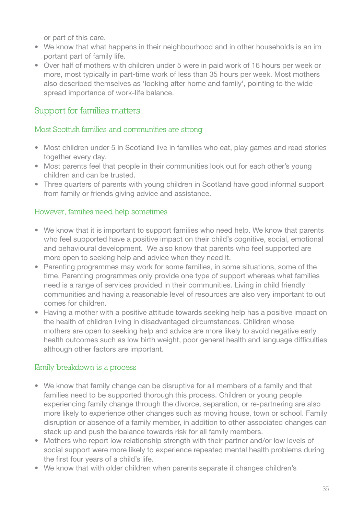or part of this care.

- We know that what happens in their neighbourhood and in other households is an im portant part of family life.
- Over half of mothers with children under 5 were in paid work of 16 hours per week or more, most typically in part-time work of less than 35 hours per week. Most mothers also described themselves as 'looking after home and family', pointing to the wide spread importance of work-life balance.

# **Support for families matters**

## **Most Scottish families and communities are strong**

- Most children under 5 in Scotland live in families who eat, play games and read stories together every day.
- Most parents feel that people in their communities look out for each other's young children and can be trusted.
- Three quarters of parents with young children in Scotland have good informal support from family or friends giving advice and assistance.

## **However, families need help sometimes**

- We know that it is important to support families who need help. We know that parents who feel supported have a positive impact on their child's cognitive, social, emotional and behavioural development. We also know that parents who feel supported are more open to seeking help and advice when they need it.
- Parenting programmes may work for some families, in some situations, some of the time. Parenting programmes only provide one type of support whereas what families need is a range of services provided in their communities. Living in child friendly communities and having a reasonable level of resources are also very important to out comes for children.
- Having a mother with a positive attitude towards seeking help has a positive impact on the health of children living in disadvantaged circumstances. Children whose mothers are open to seeking help and advice are more likely to avoid negative early health outcomes such as low birth weight, poor general health and language difficulties although other factors are important.

## **Family breakdown is a process**

- We know that family change can be disruptive for all members of a family and that families need to be supported thorough this process. Children or young people experiencing family change through the divorce, separation, or re-partnering are also more likely to experience other changes such as moving house, town or school. Family disruption or absence of a family member, in addition to other associated changes can stack up and push the balance towards risk for all family members.
- Mothers who report low relationship strength with their partner and/or low levels of social support were more likely to experience repeated mental health problems during the first four years of a child's life.
- We know that with older children when parents separate it changes children's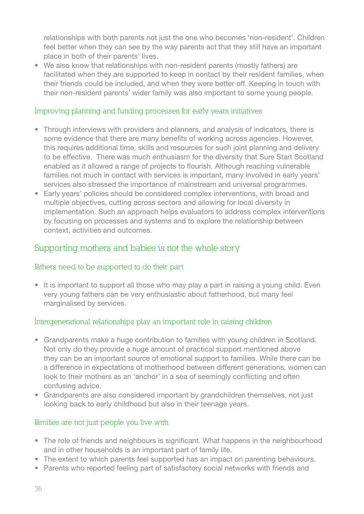relationships with both parents not just the one who becomes 'non-resident'. Children feel better when they can see by the way parents act that they still have an important place in both of their parents' lives.

• We also know that relationships with non-resident parents (mostly fathers) are facilitated when they are supported to keep in contact by their resident families, when their friends could be included, and when they were better off. Keeping in touch with their non-resident parents' wider family was also important to some young people.

## **Improving planning and funding processes for early years initiatives**

- Through interviews with providers and planners, and analysis of indicators, there is some evidence that there are many benefits of working across agencies. However, this requires additional time, skills and resources for such joint planning and delivery to be effective. There was much enthusiasm for the diversity that Sure Start Scotland enabled as it allowed a range of projects to flourish. Although reaching vulnerable families not much in contact with services is important, many involved in early years' services also stressed the importance of mainstream and universal programmes.
- Early years' policies should be considered complex interventions, with broad and multiple objectives, cutting across sectors and allowing for local diversity in implementation. Such an approach helps evaluators to address complex interventions by focusing on processes and systems and to explore the relationship between context, activities and outcomes.

# **Supporting mothers and babies is not the whole story**

## **Fathers need to be supported to do their part**

• It is important to support all those who may play a part in raising a young child. Even very young fathers can be very enthusiastic about fatherhood, but many feel marginalised by services.

## **Intergenerational relationships play an important role in raising children**

- Grandparents make a huge contribution to families with young children in Scotland. Not only do they provide a huge amount of practical support mentioned above they can be an important source of emotional support to families. While there can be a difference in expectations of motherhood between different generations, women can look to their mothers as an 'anchor' in a sea of seemingly conflicting and often confusing advice.
- Grandparents are also considered important by grandchildren themselves, not just looking back to early childhood but also in their teenage years.

## **Families are not just people you live with**

- The role of friends and neighbours is significant. What happens in the neighbourhood and in other households is an important part of family life.
- The extent to which parents feel supported has an impact on parenting behaviours.
- Parents who reported feeling part of satisfactory social networks with friends and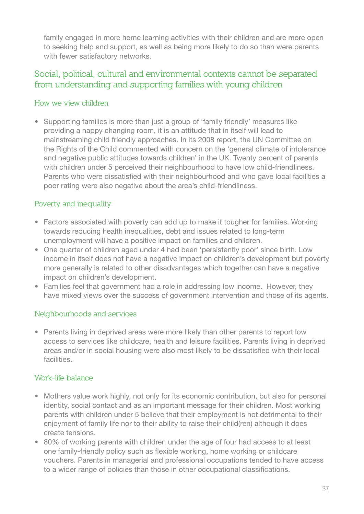family engaged in more home learning activities with their children and are more open to seeking help and support, as well as being more likely to do so than were parents with fewer satisfactory networks.

# **Social, political, cultural and environmental contexts cannot be separated from understanding and supporting families with young children**

## **How we view children**

• Supporting families is more than just a group of 'family friendly' measures like providing a nappy changing room, it is an attitude that in itself will lead to mainstreaming child friendly approaches. In its 2008 report, the UN Committee on the Rights of the Child commented with concern on the 'general climate of intolerance and negative public attitudes towards children' in the UK. Twenty percent of parents with children under 5 perceived their neighbourhood to have low child-friendliness. Parents who were dissatisfied with their neighbourhood and who gave local facilities a poor rating were also negative about the area's child-friendliness.

## **Poverty and inequality**

- Factors associated with poverty can add up to make it tougher for families. Working towards reducing health inequalities, debt and issues related to long-term unemployment will have a positive impact on families and children.
- One quarter of children aged under 4 had been 'persistently poor' since birth. Low income in itself does not have a negative impact on children's development but poverty more generally is related to other disadvantages which together can have a negative impact on children's development.
- Families feel that government had a role in addressing low income. However, they have mixed views over the success of government intervention and those of its agents.

## **Neighbourhoods and services**

• Parents living in deprived areas were more likely than other parents to report low access to services like childcare, health and leisure facilities. Parents living in deprived areas and/or in social housing were also most likely to be dissatisfied with their local facilities.

## **Work-life balance**

- Mothers value work highly, not only for its economic contribution, but also for personal identity, social contact and as an important message for their children. Most working parents with children under 5 believe that their employment is not detrimental to their enjoyment of family life nor to their ability to raise their child(ren) although it does create tensions.
- 80% of working parents with children under the age of four had access to at least one family-friendly policy such as flexible working, home working or childcare vouchers. Parents in managerial and professional occupations tended to have access to a wider range of policies than those in other occupational classifications.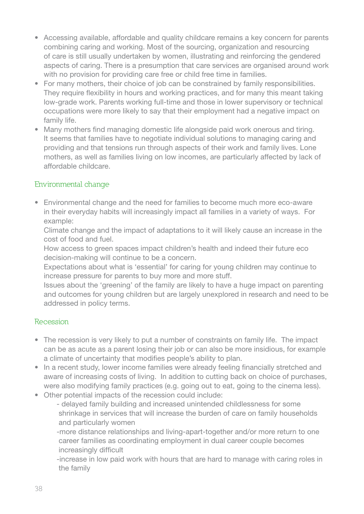- Accessing available, affordable and quality childcare remains a key concern for parents combining caring and working. Most of the sourcing, organization and resourcing of care is still usually undertaken by women, illustrating and reinforcing the gendered aspects of caring. There is a presumption that care services are organised around work with no provision for providing care free or child free time in families.
- For many mothers, their choice of job can be constrained by family responsibilities. They require flexibility in hours and working practices, and for many this meant taking low-grade work. Parents working full-time and those in lower supervisory or technical occupations were more likely to say that their employment had a negative impact on family life.
- Many mothers find managing domestic life alongside paid work onerous and tiring. It seems that families have to negotiate individual solutions to managing caring and providing and that tensions run through aspects of their work and family lives. Lone mothers, as well as families living on low incomes, are particularly affected by lack of affordable childcare.

## **Environmental change**

• Environmental change and the need for families to become much more eco-aware in their everyday habits will increasingly impact all families in a variety of ways. For example:

 Climate change and the impact of adaptations to it will likely cause an increase in the cost of food and fuel.

 How access to green spaces impact children's health and indeed their future eco decision-making will continue to be a concern.

 Expectations about what is 'essential' for caring for young children may continue to increase pressure for parents to buy more and more stuff.

 Issues about the 'greening' of the family are likely to have a huge impact on parenting and outcomes for young children but are largely unexplored in research and need to be addressed in policy terms.

## **Recession**

- The recession is very likely to put a number of constraints on family life. The impact can be as acute as a parent losing their job or can also be more insidious, for example a climate of uncertainty that modifies people's ability to plan.
- In a recent study, lower income families were already feeling financially stretched and aware of increasing costs of living. In addition to cutting back on choice of purchases, were also modifying family practices (e.g. going out to eat, going to the cinema less).
- Other potential impacts of the recession could include:
	- delayed family building and increased unintended childlessness for some shrinkage in services that will increase the burden of care on family households and particularly women

 -more distance relationships and living-apart-together and/or more return to one career families as coordinating employment in dual career couple becomes increasingly difficult

 -increase in low paid work with hours that are hard to manage with caring roles in the family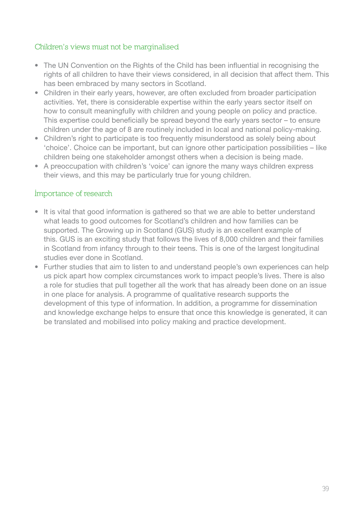## **Children's views must not be marginalised**

- The UN Convention on the Rights of the Child has been influential in recognising the rights of all children to have their views considered, in all decision that affect them. This has been embraced by many sectors in Scotland.
- Children in their early years, however, are often excluded from broader participation activities. Yet, there is considerable expertise within the early years sector itself on how to consult meaningfully with children and young people on policy and practice. This expertise could beneficially be spread beyond the early years sector – to ensure children under the age of 8 are routinely included in local and national policy-making.
- Children's right to participate is too frequently misunderstood as solely being about 'choice'. Choice can be important, but can ignore other participation possibilities – like children being one stakeholder amongst others when a decision is being made.
- A preoccupation with children's 'voice' can ignore the many ways children express their views, and this may be particularly true for young children.

## **Importance of research**

- It is vital that good information is gathered so that we are able to better understand what leads to good outcomes for Scotland's children and how families can be supported. The Growing up in Scotland (GUS) study is an excellent example of this. GUS is an exciting study that follows the lives of 8,000 children and their families in Scotland from infancy through to their teens. This is one of the largest longitudinal studies ever done in Scotland.
- Further studies that aim to listen to and understand people's own experiences can help us pick apart how complex circumstances work to impact people's lives. There is also a role for studies that pull together all the work that has already been done on an issue in one place for analysis. A programme of qualitative research supports the development of this type of information. In addition, a programme for dissemination and knowledge exchange helps to ensure that once this knowledge is generated, it can be translated and mobilised into policy making and practice development.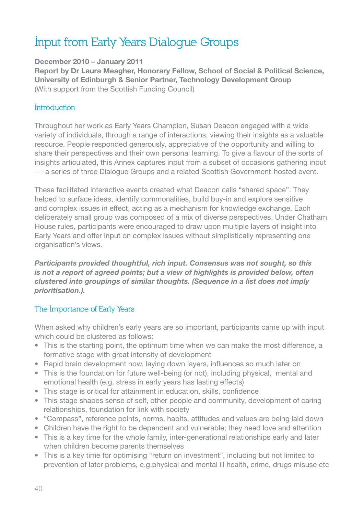# **Input from Early Years Dialogue Groups**

## **December 2010 – January 2011**

**Report by Dr Laura Meagher, Honorary Fellow, School of Social & Political Science, University of Edinburgh & Senior Partner, Technology Development Group**  (With support from the Scottish Funding Council)

#### **Introduction**

Throughout her work as Early Years Champion, Susan Deacon engaged with a wide variety of individuals, through a range of interactions, viewing their insights as a valuable resource. People responded generously, appreciative of the opportunity and willing to share their perspectives and their own personal learning. To give a flavour of the sorts of insights articulated, this Annex captures input from a subset of occasions gathering input --- a series of three Dialogue Groups and a related Scottish Government-hosted event.

These facilitated interactive events created what Deacon calls "shared space". They helped to surface ideas, identify commonalities, build buy-in and explore sensitive and complex issues in effect, acting as a mechanism for knowledge exchange. Each deliberately small group was composed of a mix of diverse perspectives. Under Chatham House rules, participants were encouraged to draw upon multiple layers of insight into Early Years and offer input on complex issues without simplistically representing one organisation's views.

*Participants provided thoughtful, rich input. Consensus was not sought, so this is not a report of agreed points; but a view of highlights is provided below, often clustered into groupings of similar thoughts. (Sequence in a list does not imply prioritisation.).* 

## **The Importance of Early Years**

When asked why children's early years are so important, participants came up with input which could be clustered as follows:

- This is the starting point, the optimum time when we can make the most difference, a formative stage with great intensity of development
- Rapid brain development now, laying down layers, influences so much later on
- This is the foundation for future well-being (or not), including physical, mental and emotional health (e.g. stress in early years has lasting effects)
- This stage is critical for attainment in education, skills, confidence
- This stage shapes sense of self, other people and community, development of caring relationships, foundation for link with society
- "Compass", reference points, norms, habits, attitudes and values are being laid down
- Children have the right to be dependent and vulnerable; they need love and attention
- This is a key time for the whole family, inter-generational relationships early and later when children become parents themselves
- This is a key time for optimising "return on investment", including but not limited to prevention of later problems, e.g.physical and mental ill health, crime, drugs misuse etc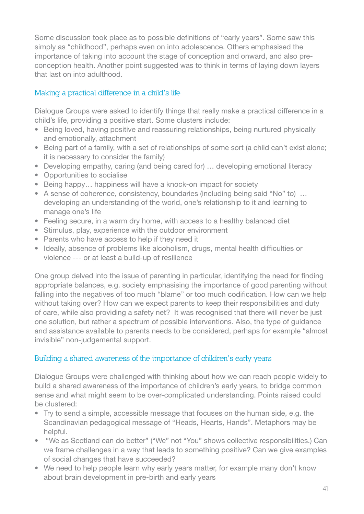Some discussion took place as to possible definitions of "early years". Some saw this simply as "childhood", perhaps even on into adolescence. Others emphasised the importance of taking into account the stage of conception and onward, and also preconception health. Another point suggested was to think in terms of laying down layers that last on into adulthood.

## **Making a practical difference in a child's life**

Dialogue Groups were asked to identify things that really make a practical difference in a child's life, providing a positive start. Some clusters include:

- Being loved, having positive and reassuring relationships, being nurtured physically and emotionally, attachment
- Being part of a family, with a set of relationships of some sort (a child can't exist alone; it is necessary to consider the family)
- Developing empathy, caring (and being cared for) ... developing emotional literacy
- Opportunities to socialise
- Being happy... happiness will have a knock-on impact for society
- A sense of coherence, consistency, boundaries (including being said "No" to) ... developing an understanding of the world, one's relationship to it and learning to manage one's life
- Feeling secure, in a warm dry home, with access to a healthy balanced diet
- Stimulus, play, experience with the outdoor environment
- Parents who have access to help if they need it
- Ideally, absence of problems like alcoholism, drugs, mental health difficulties or violence --- or at least a build-up of resilience

One group delved into the issue of parenting in particular, identifying the need for finding appropriate balances, e.g. society emphasising the importance of good parenting without falling into the negatives of too much "blame" or too much codification. How can we help without taking over? How can we expect parents to keep their responsibilities and duty of care, while also providing a safety net? It was recognised that there will never be just one solution, but rather a spectrum of possible interventions. Also, the type of guidance and assistance available to parents needs to be considered, perhaps for example "almost invisible" non-judgemental support.

## **Building a shared awareness of the importance of children's early years**

Dialogue Groups were challenged with thinking about how we can reach people widely to build a shared awareness of the importance of children's early years, to bridge common sense and what might seem to be over-complicated understanding. Points raised could be clustered:

- Try to send a simple, accessible message that focuses on the human side, e.g. the Scandinavian pedagogical message of "Heads, Hearts, Hands". Metaphors may be helpful.
- "We as Scotland can do better" ("We" not "You" shows collective responsibilities.) Can we frame challenges in a way that leads to something positive? Can we give examples of social changes that have succeeded?
- We need to help people learn why early years matter, for example many don't know about brain development in pre-birth and early years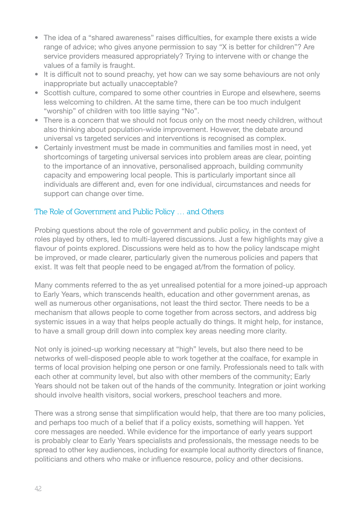- The idea of a "shared awareness" raises difficulties. for example there exists a wide range of advice; who gives anyone permission to say "X is better for children"? Are service providers measured appropriately? Trying to intervene with or change the values of a family is fraught.
- It is difficult not to sound preachy, yet how can we say some behaviours are not only inappropriate but actually unacceptable?
- Scottish culture, compared to some other countries in Europe and elsewhere, seems less welcoming to children. At the same time, there can be too much indulgent "worship" of children with too little saying "No".
- There is a concern that we should not focus only on the most needy children, without also thinking about population-wide improvement. However, the debate around universal vs targeted services and interventions is recognised as complex.
- Certainly investment must be made in communities and families most in need, vet shortcomings of targeting universal services into problem areas are clear, pointing to the importance of an innovative, personalised approach, building community capacity and empowering local people. This is particularly important since all individuals are different and, even for one individual, circumstances and needs for support can change over time.

## **The Role of Government and Public Policy … and Others**

Probing questions about the role of government and public policy, in the context of roles played by others, led to multi-layered discussions. Just a few highlights may give a flavour of points explored. Discussions were held as to how the policy landscape might be improved, or made clearer, particularly given the numerous policies and papers that exist. It was felt that people need to be engaged at/from the formation of policy.

Many comments referred to the as yet unrealised potential for a more joined-up approach to Early Years, which transcends health, education and other government arenas, as well as numerous other organisations, not least the third sector. There needs to be a mechanism that allows people to come together from across sectors, and address big systemic issues in a way that helps people actually do things. It might help, for instance, to have a small group drill down into complex key areas needing more clarity.

Not only is joined-up working necessary at "high" levels, but also there need to be networks of well-disposed people able to work together at the coalface, for example in terms of local provision helping one person or one family. Professionals need to talk with each other at community level, but also with other members of the community; Early Years should not be taken out of the hands of the community. Integration or joint working should involve health visitors, social workers, preschool teachers and more.

There was a strong sense that simplification would help, that there are too many policies, and perhaps too much of a belief that if a policy exists, something will happen. Yet core messages are needed. While evidence for the importance of early years support is probably clear to Early Years specialists and professionals, the message needs to be spread to other key audiences, including for example local authority directors of finance, politicians and others who make or influence resource, policy and other decisions.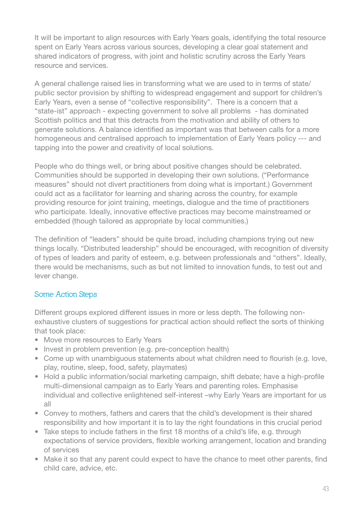It will be important to align resources with Early Years goals, identifying the total resource spent on Early Years across various sources, developing a clear goal statement and shared indicators of progress, with joint and holistic scrutiny across the Early Years resource and services.

A general challenge raised lies in transforming what we are used to in terms of state/ public sector provision by shifting to widespread engagement and support for children's Early Years, even a sense of "collective responsibility". There is a concern that a "state-ist" approach - expecting government to solve all problems - has dominated Scottish politics and that this detracts from the motivation and ability of others to generate solutions. A balance identified as important was that between calls for a more homogeneous and centralised approach to implementation of Early Years policy --- and tapping into the power and creativity of local solutions.

People who do things well, or bring about positive changes should be celebrated. Communities should be supported in developing their own solutions. ("Performance measures" should not divert practitioners from doing what is important.) Government could act as a facilitator for learning and sharing across the country, for example providing resource for joint training, meetings, dialogue and the time of practitioners who participate. Ideally, innovative effective practices may become mainstreamed or embedded (though tailored as appropriate by local communities.)

The definition of "leaders" should be quite broad, including champions trying out new things locally. "Distributed leadership" should be encouraged, with recognition of diversity of types of leaders and parity of esteem, e.g. between professionals and "others". Ideally, there would be mechanisms, such as but not limited to innovation funds, to test out and lever change.

# **Some Action Steps**

Different groups explored different issues in more or less depth. The following nonexhaustive clusters of suggestions for practical action should reflect the sorts of thinking that took place:

- Move more resources to Early Years
- Invest in problem prevention (e.g. pre-conception health)
- Come up with unambiguous statements about what children need to flourish (e.g. love, play, routine, sleep, food, safety, playmates)
- Hold a public information/social marketing campaign, shift debate; have a high-profile multi-dimensional campaign as to Early Years and parenting roles. Emphasise individual and collective enlightened self-interest –why Early Years are important for us all
- Convey to mothers, fathers and carers that the child's development is their shared responsibility and how important it is to lay the right foundations in this crucial period
- Take steps to include fathers in the first 18 months of a child's life, e.g. through expectations of service providers, flexible working arrangement, location and branding of services
- Make it so that any parent could expect to have the chance to meet other parents, find child care, advice, etc.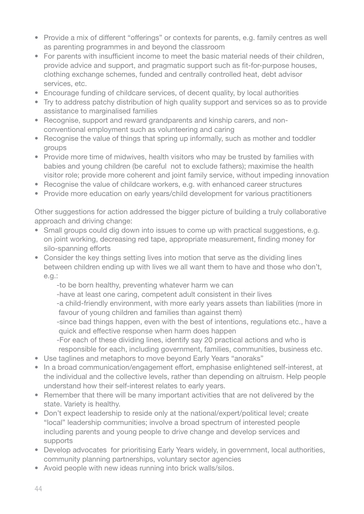- Provide a mix of different "offerings" or contexts for parents, e.g. family centres as well as parenting programmes in and beyond the classroom
- For parents with insufficient income to meet the basic material needs of their children. provide advice and support, and pragmatic support such as fit-for-purpose houses, clothing exchange schemes, funded and centrally controlled heat, debt advisor services, etc.
- Encourage funding of childcare services, of decent quality, by local authorities
- Try to address patchy distribution of high quality support and services so as to provide assistance to marginalised families
- Recognise, support and reward grandparents and kinship carers, and nonconventional employment such as volunteering and caring
- Recognise the value of things that spring up informally, such as mother and toddler groups
- Provide more time of midwives, health visitors who may be trusted by families with babies and young children (be careful not to exclude fathers); maximise the health visitor role; provide more coherent and joint family service, without impeding innovation
- Recognise the value of childcare workers, e.g. with enhanced career structures
- Provide more education on early years/child development for various practitioners

Other suggestions for action addressed the bigger picture of building a truly collaborative approach and driving change:

- Small groups could dig down into issues to come up with practical suggestions, e.g. on joint working, decreasing red tape, appropriate measurement, finding money for silo-spanning efforts
- Consider the key things setting lives into motion that serve as the dividing lines between children ending up with lives we all want them to have and those who don't, e.g.:
	- -to be born healthy, preventing whatever harm we can
	- -have at least one caring, competent adult consistent in their lives
	- -a child-friendly environment, with more early years assets than liabilities (more in favour of young children and families than against them)
	- -since bad things happen, even with the best of intentions, regulations etc., have a quick and effective response when harm does happen
	- -For each of these dividing lines, identify say 20 practical actions and who is responsible for each, including government, families, communities, business etc.
- Use taglines and metaphors to move beyond Early Years "anoraks"
- In a broad communication/engagement effort, emphasise enlightened self-interest, at the individual and the collective levels, rather than depending on altruism. Help people understand how their self-interest relates to early years.
- Remember that there will be many important activities that are not delivered by the state. Variety is healthy.
- Don't expect leadership to reside only at the national/expert/political level; create "local" leadership communities; involve a broad spectrum of interested people including parents and young people to drive change and develop services and supports
- Develop advocates for prioritising Early Years widely, in government, local authorities, community planning partnerships, voluntary sector agencies
- Avoid people with new ideas running into brick walls/silos.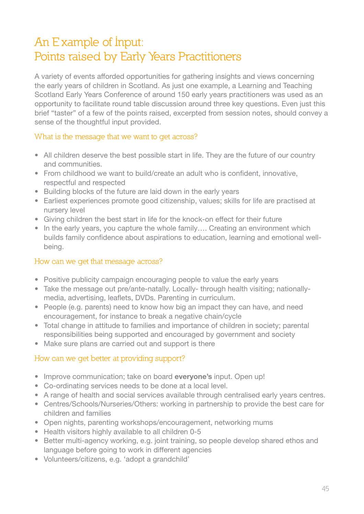# **An E xample of Input: Points raised by Early Years Practitioners**

A variety of events afforded opportunities for gathering insights and views concerning the early years of children in Scotland. As just one example, a Learning and Teaching Scotland Early Years Conference of around 150 early years practitioners was used as an opportunity to facilitate round table discussion around three key questions. Even just this brief "taster" of a few of the points raised, excerpted from session notes, should convey a sense of the thoughtful input provided.

## **What is the message that we want to get across?**

- All children deserve the best possible start in life. They are the future of our country and communities.
- From childhood we want to build/create an adult who is confident, innovative, respectful and respected
- Building blocks of the future are laid down in the early years
- Earliest experiences promote good citizenship, values; skills for life are practised at nursery level
- Giving children the best start in life for the knock-on effect for their future
- In the early years, you capture the whole family.... Creating an environment which builds family confidence about aspirations to education, learning and emotional well being.

## **How can we get that message across?**

- Positive publicity campaign encouraging people to value the early years
- Take the message out pre/ante-natally. Locally- through health visiting; nationallymedia, advertising, leaflets, DVDs. Parenting in curriculum.
- People (e.g. parents) need to know how big an impact they can have, and need encouragement, for instance to break a negative chain/cycle
- Total change in attitude to families and importance of children in society; parental responsibilities being supported and encouraged by government and society
- Make sure plans are carried out and support is there

# **How can we get better at providing support?**

- **•** Improve communication; take on board everyone's input. Open up!
- Co-ordinating services needs to be done at a local level.
- A range of health and social services available through centralised early years centres.
- Centres/Schools/Nurseries/Others: working in partnership to provide the best care for children and families
- Open nights, parenting workshops/encouragement, networking mums
- Health visitors highly available to all children 0-5
- Better multi-agency working, e.g. joint training, so people develop shared ethos and language before going to work in different agencies
- Volunteers/citizens, e.g. 'adopt a grandchild'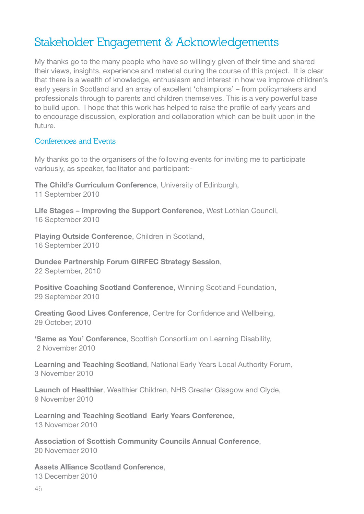# **Stakeholder Engagement & Acknowledgements**

My thanks go to the many people who have so willingly given of their time and shared their views, insights, experience and material during the course of this project. It is clear that there is a wealth of knowledge, enthusiasm and interest in how we improve children's early years in Scotland and an array of excellent 'champions' – from policymakers and professionals through to parents and children themselves. This is a very powerful base to build upon. I hope that this work has helped to raise the profile of early years and to encourage discussion, exploration and collaboration which can be built upon in the future.

#### **Conferences and Events**

My thanks go to the organisers of the following events for inviting me to participate variously, as speaker, facilitator and participant:-

**The Child's Curriculum Conference**, University of Edinburgh, 11 September 2010

**Life Stages – Improving the Support Conference**, West Lothian Council, 16 September 2010

**Playing Outside Conference**, Children in Scotland, 16 September 2010

**Dundee Partnership Forum GIRFEC Strategy Session**, 22 September, 2010

**Positive Coaching Scotland Conference**, Winning Scotland Foundation, 29 September 2010

**Creating Good Lives Conference**, Centre for Confidence and Wellbeing, 29 October, 2010

**'Same as You' Conference**, Scottish Consortium on Learning Disability, 2 November 2010

**Learning and Teaching Scotland**, National Early Years Local Authority Forum, 3 November 2010

**Launch of Healthier**, Wealthier Children, NHS Greater Glasgow and Clyde, 9 November 2010

**Learning and Teaching Scotland Early Years Conference**, 13 November 2010

**Association of Scottish Community Councils Annual Conference**, 20 November 2010

**Assets Alliance Scotland Conference**, 13 December 2010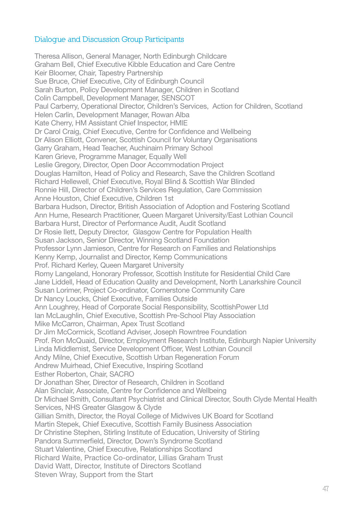## **Dialogue and Discussion Group Participants**

Theresa Allison, General Manager, North Edinburgh Childcare Graham Bell, Chief Executive Kibble Education and Care Centre Keir Bloomer, Chair, Tapestry Partnership Sue Bruce, Chief Executive, City of Edinburgh Council Sarah Burton, Policy Development Manager, Children in Scotland Colin Campbell, Development Manager, SENSCOT Paul Carberry, Operational Director, Children's Services, Action for Children, Scotland Helen Carlin, Development Manager, Rowan Alba Kate Cherry, HM Assistant Chief Inspector, HMIE Dr Carol Craig, Chief Executive, Centre for Confidence and Wellbeing Dr Alison Elliott, Convener, Scottish Council for Voluntary Organisations Garry Graham, Head Teacher, Auchinairn Primary School Karen Grieve, Programme Manager, Equally Well Leslie Gregory, Director, Open Door Accommodation Project Douglas Hamilton, Head of Policy and Research, Save the Children Scotland Richard Hellewell, Chief Executive, Royal Blind & Scottish War Blinded Ronnie Hill, Director of Children's Services Regulation, Care Commission Anne Houston, Chief Executive, Children 1st Barbara Hudson, Director, British Association of Adoption and Fostering Scotland Ann Hume, Research Practitioner, Queen Margaret University/East Lothian Council Barbara Hurst, Director of Performance Audit, Audit Scotland Dr Rosie Ilett, Deputy Director, Glasgow Centre for Population Health Susan Jackson, Senior Director, Winning Scotland Foundation Professor Lynn Jamieson, Centre for Research on Families and Relationships Kenny Kemp, Journalist and Director, Kemp Communications Prof. Richard Kerley, Queen Margaret University Romy Langeland, Honorary Professor, Scottish Institute for Residential Child Care Jane Liddell, Head of Education Quality and Development, North Lanarkshire Council Susan Lorimer, Project Co-ordinator, Cornerstone Community Care Dr Nancy Loucks, Chief Executive, Families Outside Ann Loughrey, Head of Corporate Social Responsibility, ScottishPower Ltd Ian McLaughlin, Chief Executive, Scottish Pre-School Play Association Mike McCarron, Chairman, Apex Trust Scotland Dr Jim McCormick, Scotland Adviser, Joseph Rowntree Foundation Prof. Ron McQuaid, Director, Employment Research Institute, Edinburgh Napier University Linda Middlemist, Service Development Officer, West Lothian Council Andy Milne, Chief Executive, Scottish Urban Regeneration Forum Andrew Muirhead, Chief Executive, Inspiring Scotland Esther Roberton, Chair, SACRO Dr Jonathan Sher, Director of Research, Children in Scotland Alan Sinclair, Associate, Centre for Confidence and Wellbeing Dr Michael Smith, Consultant Psychiatrist and Clinical Director, South Clyde Mental Health Services, NHS Greater Glasgow & Clyde Gillian Smith, Director, the Royal College of Midwives UK Board for Scotland Martin Stepek, Chief Executive, Scottish Family Business Association Dr Christine Stephen, Stirling Institute of Education, University of Stirling Pandora Summerfield, Director, Down's Syndrome Scotland Stuart Valentine, Chief Executive, Relationships Scotland Richard Waite, Practice Co-ordinator, Lillias Graham Trust David Watt, Director, Institute of Directors Scotland Steven Wray, Support from the Start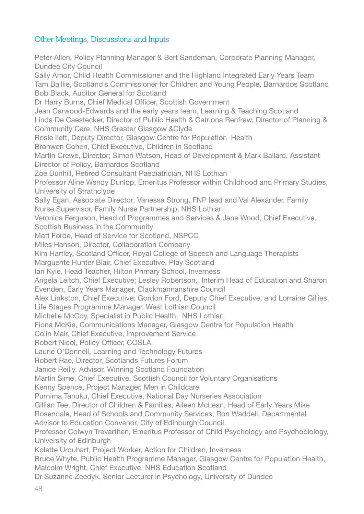## **Other Meetings, Discussions and Inputs**

Peter Allen, Policy Planning Manager & Bert Sandeman, Corporate Planning Manager, Dundee City Council Sally Amor, Child Health Commissioner and the Highland Integrated Early Years Team Tam Baillie, Scotland's Commissioner for Children and Young People, Barnardos Scotland Bob Black, Auditor General for Scotland Dr Harry Burns, Chief Medical Officer, Scottish Government Jean Carwood-Edwards and the early years team, Learning & Teaching Scotland Linda De Caestecker, Director of Public Health & Catriona Renfrew, Director of Planning & Community Care, NHS Greater Glasgow &Clyde Rosie Ilett, Deputy Director, Glasgow Centre for Population Health Bronwen Cohen, Chief Executive, Children in Scotland Martin Crewe, Director; Simon Watson, Head of Development & Mark Ballard, Assistant Director of Policy, Barnardos Scotland Zoe Dunhill, Retired Consultant Paediatrician, NHS Lothian Professor Aline Wendy Dunlop, Emeritus Professor within Childhood and Primary Studies, University of Strathclyde Sally Egan, Associate Director; Vanessa Strong, FNP lead and Val Alexander, Family Nurse Supervisor, Family Nurse Partnership, NHS Lothian Veronica Ferguson, Head of Programmes and Services & Jane Wood, Chief Executive, Scottish Business in the Community Matt Forde, Head of Service for Scotland, NSPCC Miles Hanson, Director, Collaboration Company Kim Hartley, Scotland Officer, Royal College of Speech and Language Therapists Marguerite Hunter Blair, Chief Executive, Play Scotland Ian Kyle, Head Teacher, Hilton Primary School, Inverness Angela Leitch, Chief Executive; Lesley Robertson, Interim Head of Education and Sharon Evenden, Early Years Manager, Clackmannanshire Council Alex Linkston, Chief Executive; Gordon Ford, Deputy Chief Executive, and Lorraine Gillies, Life Stages Programme Manager, West Lothian Council Michelle McCoy, Specialist in Public Health, NHS Lothian Fiona McKie, Communications Manager, Glasgow Centre for Population Health Colin Mair, Chief Executive, Improvement Service Robert Nicol, Policy Officer, COSLA Laurie O'Donnell, Learning and Technology Futures Robert Rae, Director, Scotlands Futures Forum Janice Reilly, Advisor, Winning Scotland Foundation Martin Sime, Chief Executive, Scottish Council for Voluntary Organisations Kenny Spence, Project Manager, Men in Childcare Purnima Tanuku, Chief Executive, National Day Nurseries Association Gillian Tee, Director of Children & Families; Aileen McLean, Head of Early Years;Mike Rosendale, Head of Schools and Community Services, Ron Waddell, Departmental Advisor to Education Convenor, City of Edinburgh Council Professor Colwyn Trevarthen, Emeritus Professor of Child Psychology and Psychobiology, University of Edinburgh Kolette Urquhart, Project Worker, Action for Children, Inverness Bruce Whyte, Public Health Programme Manager, Glasgow Centre for Population Health, Malcolm Wright, Chief Executive, NHS Education Scotland Dr Suzanne Zeedyk, Senior Lecturer in Psychology, University of Dundee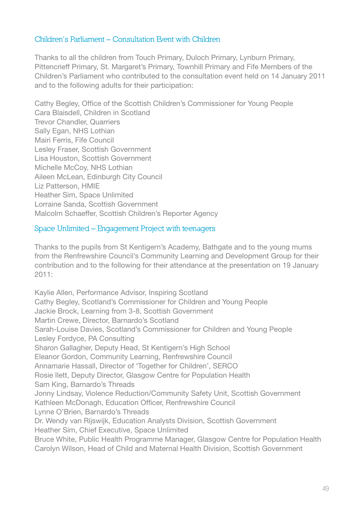## **Children's Parliament – Consultation Event with Children**

Thanks to all the children from Touch Primary, Duloch Primary, Lynburn Primary, Pittencrieff Primary, St. Margaret's Primary, Townhill Primary and Fife Members of the Children's Parliament who contributed to the consultation event held on 14 January 2011 and to the following adults for their participation:

Cathy Begley, Office of the Scottish Children's Commissioner for Young People Cara Blaisdell, Children in Scotland Trevor Chandler, Quarriers Sally Egan, NHS Lothian Mairi Ferris, Fife Council Lesley Fraser, Scottish Government Lisa Houston, Scottish Government Michelle McCoy, NHS Lothian Aileen McLean, Edinburgh City Council Liz Patterson, HMIE Heather Sim, Space Unlimited Lorraine Sanda, Scottish Government Malcolm Schaeffer, Scottish Children's Reporter Agency

## **Space Unlimited – Engagement Project with teenagers**

Thanks to the pupils from St Kentigern's Academy, Bathgate and to the young mums from the Renfrewshire Council's Community Learning and Development Group for their contribution and to the following for their attendance at the presentation on 19 January 2011:

Kaylie Allen, Performance Advisor, Inspiring Scotland Cathy Begley, Scotland's Commissioner for Children and Young People Jackie Brock, Learning from 3-8, Scottish Government Martin Crewe, Director, Barnardo's Scotland Sarah-Louise Davies, Scotland's Commissioner for Children and Young People Lesley Fordyce, PA Consulting Sharon Gallagher, Deputy Head, St Kentigern's High School Eleanor Gordon, Community Learning, Renfrewshire Council Annamarie Hassall, Director of 'Together for Children', SERCO Rosie Ilett, Deputy Director, Glasgow Centre for Population Health Sam King, Barnardo's Threads Jonny Lindsay, Violence Reduction/Community Safety Unit, Scottish Government Kathleen McDonagh, Education Officer, Renfrewshire Council Lynne O'Brien, Barnardo's Threads Dr. Wendy van Rijswijk, Education Analysts Division, Scottish Government Heather Sim, Chief Executive, Space Unlimited Bruce White, Public Health Programme Manager, Glasgow Centre for Population Health Carolyn Wilson, Head of Child and Maternal Health Division, Scottish Government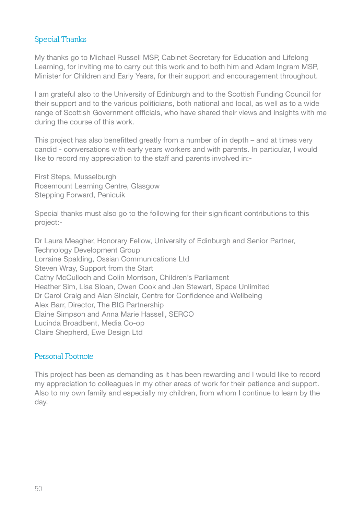## **Special Thanks**

My thanks go to Michael Russell MSP, Cabinet Secretary for Education and Lifelong Learning, for inviting me to carry out this work and to both him and Adam Ingram MSP, Minister for Children and Early Years, for their support and encouragement throughout.

I am grateful also to the University of Edinburgh and to the Scottish Funding Council for their support and to the various politicians, both national and local, as well as to a wide range of Scottish Government officials, who have shared their views and insights with me during the course of this work.

This project has also benefitted greatly from a number of in depth – and at times very candid - conversations with early years workers and with parents. In particular, I would like to record my appreciation to the staff and parents involved in:-

First Steps, Musselburgh Rosemount Learning Centre, Glasgow Stepping Forward, Penicuik

Special thanks must also go to the following for their significant contributions to this project:-

Dr Laura Meagher, Honorary Fellow, University of Edinburgh and Senior Partner, Technology Development Group Lorraine Spalding, Ossian Communications Ltd Steven Wray, Support from the Start Cathy McCulloch and Colin Morrison, Children's Parliament Heather Sim, Lisa Sloan, Owen Cook and Jen Stewart, Space Unlimited Dr Carol Craig and Alan Sinclair, Centre for Confidence and Wellbeing Alex Barr, Director, The BIG Partnership Elaine Simpson and Anna Marie Hassell, SERCO Lucinda Broadbent, Media Co-op Claire Shepherd, Ewe Design Ltd

## **Personal Footnote**

This project has been as demanding as it has been rewarding and I would like to record my appreciation to colleagues in my other areas of work for their patience and support. Also to my own family and especially my children, from whom I continue to learn by the day.